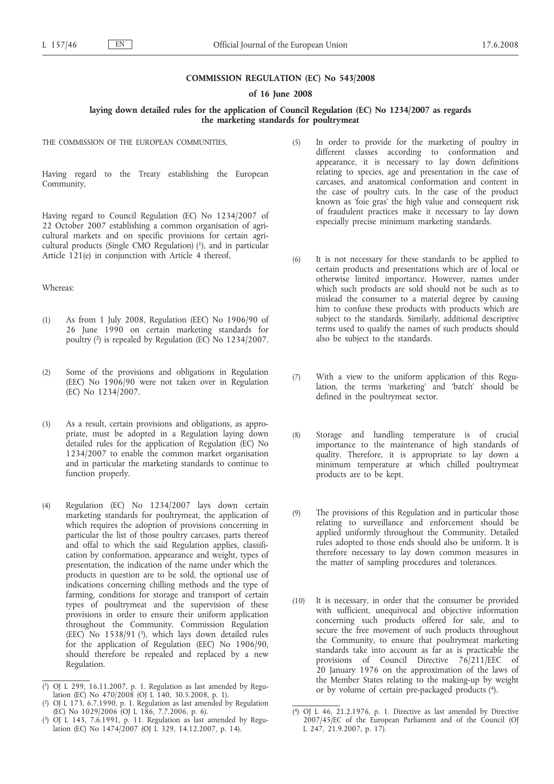#### **COMMISSION REGULATION (EC) No 543/2008**

#### **of 16 June 2008**

## **laying down detailed rules for the application of Council Regulation (EC) No 1234/2007 as regards the marketing standards for poultrymeat**

THE COMMISSION OF THE EUROPEAN COMMUNITIES.

Having regard to the Treaty establishing the European Community,

Having regard to Council Regulation (EC) No 1234/2007 of 22 October 2007 establishing a common organisation of agricultural markets and on specific provisions for certain agricultural products (Single CMO Regulation)  $(1)$ , and in particular Article 121(e) in conjunction with Article 4 thereof,

#### Whereas:

- (1) As from 1 July 2008, Regulation (EEC) No 1906/90 of 26 June 1990 on certain marketing standards for poultry (2) is repealed by Regulation (EC) No 1234/2007.
- (2) Some of the provisions and obligations in Regulation (EEC) No 1906/90 were not taken over in Regulation (EC) No 1234/2007.
- (3) As a result, certain provisions and obligations, as appropriate, must be adopted in a Regulation laying down detailed rules for the application of Regulation (EC) No 1234/2007 to enable the common market organisation and in particular the marketing standards to continue to function properly.
- (4) Regulation (EC) No 1234/2007 lays down certain marketing standards for poultrymeat, the application of which requires the adoption of provisions concerning in particular the list of those poultry carcases, parts thereof and offal to which the said Regulation applies, classification by conformation, appearance and weight, types of presentation, the indication of the name under which the products in question are to be sold, the optional use of indications concerning chilling methods and the type of farming, conditions for storage and transport of certain types of poultrymeat and the supervision of these provisions in order to ensure their uniform application throughout the Community. Commission Regulation (EEC) No  $1538/91$  (3), which lays down detailed rules for the application of Regulation (EEC) No 1906/90, should therefore be repealed and replaced by a new Regulation.
- (5) In order to provide for the marketing of poultry in different classes according to conformation and appearance, it is necessary to lay down definitions relating to species, age and presentation in the case of carcases, and anatomical conformation and content in the case of poultry cuts. In the case of the product known as 'foie gras' the high value and consequent risk of fraudulent practices make it necessary to lay down especially precise minimum marketing standards.
- (6) It is not necessary for these standards to be applied to certain products and presentations which are of local or otherwise limited importance. However, names under which such products are sold should not be such as to mislead the consumer to a material degree by causing him to confuse these products with products which are subject to the standards. Similarly, additional descriptive terms used to qualify the names of such products should also be subject to the standards.
- (7) With a view to the uniform application of this Regulation, the terms 'marketing' and 'batch' should be defined in the poultrymeat sector.
- (8) Storage and handling temperature is of crucial importance to the maintenance of high standards of quality. Therefore, it is appropriate to lay down a minimum temperature at which chilled poultrymeat products are to be kept.
- (9) The provisions of this Regulation and in particular those relating to surveillance and enforcement should be applied uniformly throughout the Community. Detailed rules adopted to those ends should also be uniform. It is therefore necessary to lay down common measures in the matter of sampling procedures and tolerances.
- (10) It is necessary, in order that the consumer be provided with sufficient, unequivocal and objective information concerning such products offered for sale, and to secure the free movement of such products throughout the Community, to ensure that poultrymeat marketing standards take into account as far as is practicable the provisions of Council Directive 76/211/EEC of 20 January 1976 on the approximation of the laws of the Member States relating to the making-up by weight or by volume of certain pre-packaged products (4).

<sup>(</sup> 1) OJ L 299, 16.11.2007, p. 1. Regulation as last amended by Regulation (EC) No 470/2008 (OJ L 140, 30.5.2008, p. 1).

<sup>(</sup> 2) OJ L 173, 6.7.1990, p. 1. Regulation as last amended by Regulation (EC) No 1029/2006 (OJ L 186, 7.7.2006, p. 6).

<sup>(</sup> 3) OJ L 143, 7.6.1991, p. 11. Regulation as last amended by Regulation (EC) No 1474/2007 (OJ L 329, 14.12.2007, p. 14).

<sup>(</sup> 4) OJ L 46, 21.2.1976, p. 1. Directive as last amended by Directive 2007/45/EC of the European Parliament and of the Council (OJ L 247, 21.9.2007, p. 17).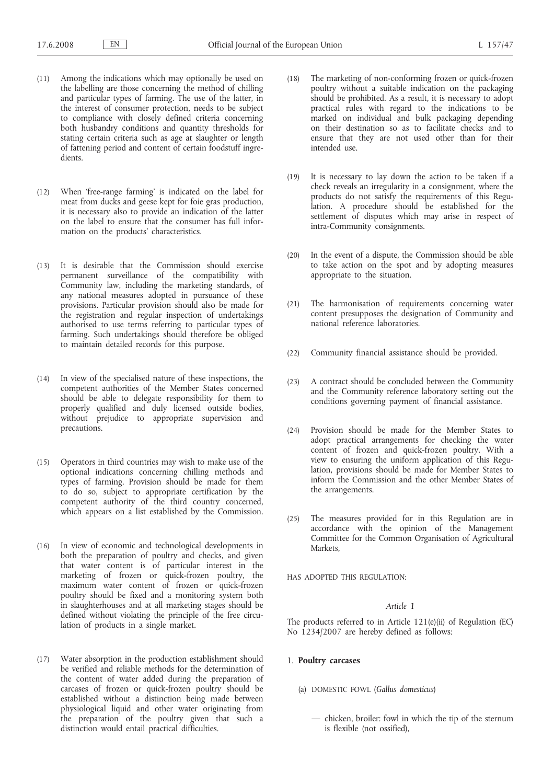- (11) Among the indications which may optionally be used on the labelling are those concerning the method of chilling and particular types of farming. The use of the latter, in the interest of consumer protection, needs to be subject to compliance with closely defined criteria concerning both husbandry conditions and quantity thresholds for stating certain criteria such as age at slaughter or length of fattening period and content of certain foodstuff ingredients.
- (12) When 'free-range farming' is indicated on the label for meat from ducks and geese kept for foie gras production, it is necessary also to provide an indication of the latter on the label to ensure that the consumer has full information on the products' characteristics.
- (13) It is desirable that the Commission should exercise permanent surveillance of the compatibility with Community law, including the marketing standards, of any national measures adopted in pursuance of these provisions. Particular provision should also be made for the registration and regular inspection of undertakings authorised to use terms referring to particular types of farming. Such undertakings should therefore be obliged to maintain detailed records for this purpose.
- (14) In view of the specialised nature of these inspections, the competent authorities of the Member States concerned should be able to delegate responsibility for them to properly qualified and duly licensed outside bodies, without prejudice to appropriate supervision and precautions.
- (15) Operators in third countries may wish to make use of the optional indications concerning chilling methods and types of farming. Provision should be made for them to do so, subject to appropriate certification by the competent authority of the third country concerned, which appears on a list established by the Commission.
- (16) In view of economic and technological developments in both the preparation of poultry and checks, and given that water content is of particular interest in the marketing of frozen or quick-frozen poultry, the maximum water content of frozen or quick-frozen poultry should be fixed and a monitoring system both in slaughterhouses and at all marketing stages should be defined without violating the principle of the free circulation of products in a single market.
- (17) Water absorption in the production establishment should be verified and reliable methods for the determination of the content of water added during the preparation of carcases of frozen or quick-frozen poultry should be established without a distinction being made between physiological liquid and other water originating from the preparation of the poultry given that such a distinction would entail practical difficulties.
- (18) The marketing of non-conforming frozen or quick-frozen poultry without a suitable indication on the packaging should be prohibited. As a result, it is necessary to adopt practical rules with regard to the indications to be marked on individual and bulk packaging depending on their destination so as to facilitate checks and to ensure that they are not used other than for their intended use.
- (19) It is necessary to lay down the action to be taken if a check reveals an irregularity in a consignment, where the products do not satisfy the requirements of this Regulation. A procedure should be established for the settlement of disputes which may arise in respect of intra-Community consignments.
- (20) In the event of a dispute, the Commission should be able to take action on the spot and by adopting measures appropriate to the situation.
- (21) The harmonisation of requirements concerning water content presupposes the designation of Community and national reference laboratories.
- (22) Community financial assistance should be provided.
- (23) A contract should be concluded between the Community and the Community reference laboratory setting out the conditions governing payment of financial assistance.
- (24) Provision should be made for the Member States to adopt practical arrangements for checking the water content of frozen and quick-frozen poultry. With a view to ensuring the uniform application of this Regulation, provisions should be made for Member States to inform the Commission and the other Member States of the arrangements.
- (25) The measures provided for in this Regulation are in accordance with the opinion of the Management Committee for the Common Organisation of Agricultural Markets,

HAS ADOPTED THIS REGULATION:

## *Article 1*

The products referred to in Article 121(e)(ii) of Regulation (EC) No 1234/2007 are hereby defined as follows:

## 1. **Poultry carcases**

- (a) DOMESTIC FOWL (*Gallus domesticus*)
	- chicken, broiler: fowl in which the tip of the sternum is flexible (not ossified),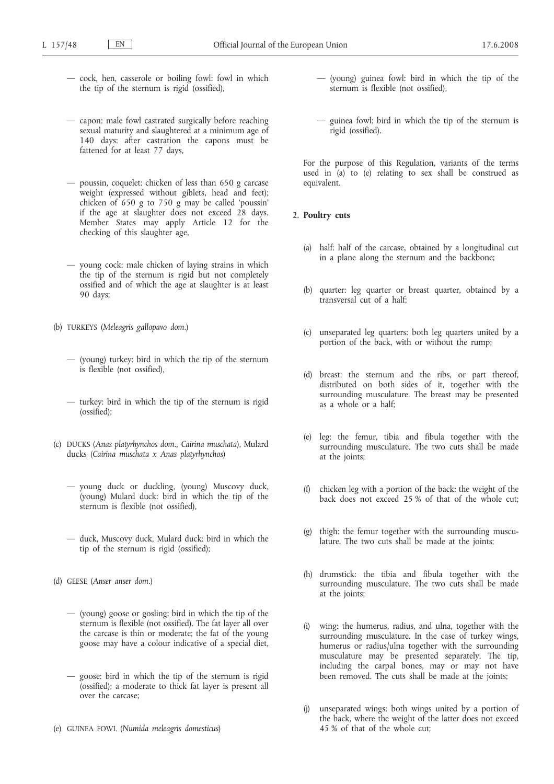- cock, hen, casserole or boiling fowl: fowl in which the tip of the sternum is rigid (ossified),
- capon: male fowl castrated surgically before reaching sexual maturity and slaughtered at a minimum age of 140 days: after castration the capons must be fattened for at least 77 days,
- poussin, coquelet: chicken of less than 650 g carcase weight (expressed without giblets, head and feet); chicken of 650 g to 750 g may be called 'poussin' if the age at slaughter does not exceed 28 days. Member States may apply Article 12 for the checking of this slaughter age,
- young cock: male chicken of laying strains in which the tip of the sternum is rigid but not completely ossified and of which the age at slaughter is at least 90 days;
- (b) TURKEYS (*Meleagris gallopavo dom.*)
	- (young) turkey: bird in which the tip of the sternum is flexible (not ossified),
	- turkey: bird in which the tip of the sternum is rigid (ossified);
- (c) DUCKS (*Anas platyrhynchos dom., Cairina muschata*), Mulard ducks (*Cairina muschata x Anas platyrhynchos*)
	- young duck or duckling, (young) Muscovy duck, (young) Mulard duck: bird in which the tip of the sternum is flexible (not ossified),
	- duck, Muscovy duck, Mulard duck: bird in which the tip of the sternum is rigid (ossified);
- (d) GEESE (*Anser anser dom.*)
	- (young) goose or gosling: bird in which the tip of the sternum is flexible (not ossified). The fat layer all over the carcase is thin or moderate; the fat of the young goose may have a colour indicative of a special diet,
	- goose: bird in which the tip of the sternum is rigid (ossified); a moderate to thick fat layer is present all over the carcase;
- (e) GUINEA FOWL (*Numida meleagris domesticus*)
- (young) guinea fowl: bird in which the tip of the sternum is flexible (not ossified),
- guinea fowl: bird in which the tip of the sternum is rigid (ossified).

For the purpose of this Regulation, variants of the terms used in (a) to (e) relating to sex shall be construed as equivalent.

## 2. **Poultry cuts**

- (a) half: half of the carcase, obtained by a longitudinal cut in a plane along the sternum and the backbone;
- (b) quarter: leg quarter or breast quarter, obtained by a transversal cut of a half;
- (c) unseparated leg quarters: both leg quarters united by a portion of the back, with or without the rump;
- (d) breast: the sternum and the ribs, or part thereof, distributed on both sides of it, together with the surrounding musculature. The breast may be presented as a whole or a half;
- (e) leg: the femur, tibia and fibula together with the surrounding musculature. The two cuts shall be made at the joints;
- (f) chicken leg with a portion of the back: the weight of the back does not exceed 25 % of that of the whole cut;
- (g) thigh: the femur together with the surrounding musculature. The two cuts shall be made at the joints;
- (h) drumstick: the tibia and fibula together with the surrounding musculature. The two cuts shall be made at the joints;
- (i) wing: the humerus, radius, and ulna, together with the surrounding musculature. In the case of turkey wings, humerus or radius/ulna together with the surrounding musculature may be presented separately. The tip, including the carpal bones, may or may not have been removed. The cuts shall be made at the joints;
- (j) unseparated wings: both wings united by a portion of the back, where the weight of the latter does not exceed 45 % of that of the whole cut;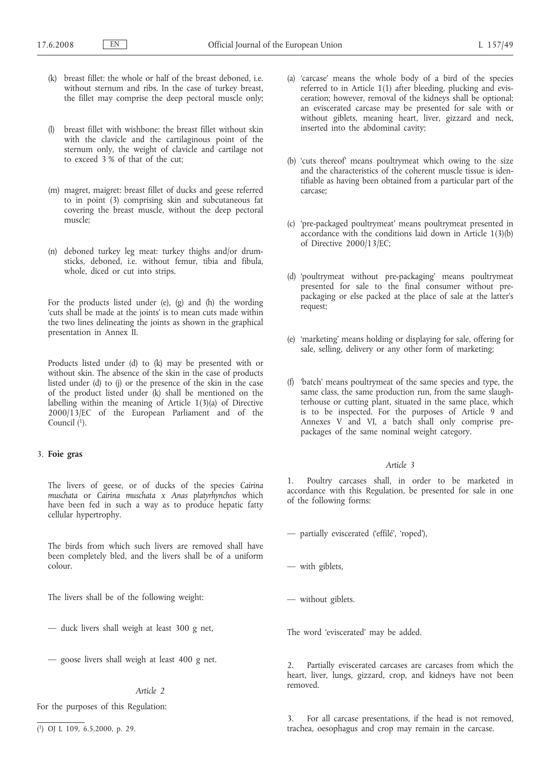- (k) breast fillet: the whole or half of the breast deboned, i.e. without sternum and ribs. In the case of turkey breast, the fillet may comprise the deep pectoral muscle only;
- breast fillet with wishbone: the breast fillet without skin with the clavicle and the cartilaginous point of the sternum only, the weight of clavicle and cartilage not to exceed 3 % of that of the cut;
- (m) magret, maigret: breast fillet of ducks and geese referred to in point (3) comprising skin and subcutaneous fat covering the breast muscle, without the deep pectoral muscle;
- (n) deboned turkey leg meat: turkey thighs and/or drumsticks, deboned, i.e. without femur, tibia and fibula, whole, diced or cut into strips.

For the products listed under (e), (g) and (h) the wording 'cuts shall be made at the joints' is to mean cuts made within the two lines delineating the joints as shown in the graphical presentation in Annex II.

Products listed under (d) to (k) may be presented with or without skin. The absence of the skin in the case of products listed under (d) to (j) or the presence of the skin in the case of the product listed under (k) shall be mentioned on the labelling within the meaning of Article 1(3)(a) of Directive 2000/13/EC of the European Parliament and of the Council (1).

## 3. **Foie gras**

The livers of geese, or of ducks of the species *Cairina muschata* or *Cairina muschata x Anas platyrhynchos* which have been fed in such a way as to produce hepatic fatty cellular hypertrophy.

The birds from which such livers are removed shall have been completely bled, and the livers shall be of a uniform colour.

The livers shall be of the following weight:

- duck livers shall weigh at least 300 g net,
- goose livers shall weigh at least 400 g net.

## *Article 2*

For the purposes of this Regulation:

- (a) 'carcase' means the whole body of a bird of the species referred to in Article 1(1) after bleeding, plucking and evisceration; however, removal of the kidneys shall be optional; an eviscerated carcase may be presented for sale with or without giblets, meaning heart, liver, gizzard and neck, inserted into the abdominal cavity;
- (b) 'cuts thereof' means poultrymeat which owing to the size and the characteristics of the coherent muscle tissue is identifiable as having been obtained from a particular part of the carcase;
- (c) 'pre-packaged poultrymeat' means poultrymeat presented in accordance with the conditions laid down in Article 1(3)(b) of Directive 2000/13/EC;
- (d) 'poultrymeat without pre-packaging' means poultrymeat presented for sale to the final consumer without prepackaging or else packed at the place of sale at the latter's request;
- (e) 'marketing' means holding or displaying for sale, offering for sale, selling, delivery or any other form of marketing;
- (f) 'batch' means poultrymeat of the same species and type, the same class, the same production run, from the same slaughterhouse or cutting plant, situated in the same place, which is to be inspected. For the purposes of Article 9 and Annexes V and VI, a batch shall only comprise prepackages of the same nominal weight category.

#### *Article 3*

1. Poultry carcases shall, in order to be marketed in accordance with this Regulation, be presented for sale in one of the following forms:

— partially eviscerated ('effilé', 'roped'),

— with giblets,

— without giblets.

The word 'eviscerated' may be added.

2. Partially eviscerated carcases are carcases from which the heart, liver, lungs, gizzard, crop, and kidneys have not been removed.

3. For all carcase presentations, if the head is not removed, trachea, oesophagus and crop may remain in the carcase.

<sup>(</sup> 1) OJ L 109, 6.5.2000, p. 29.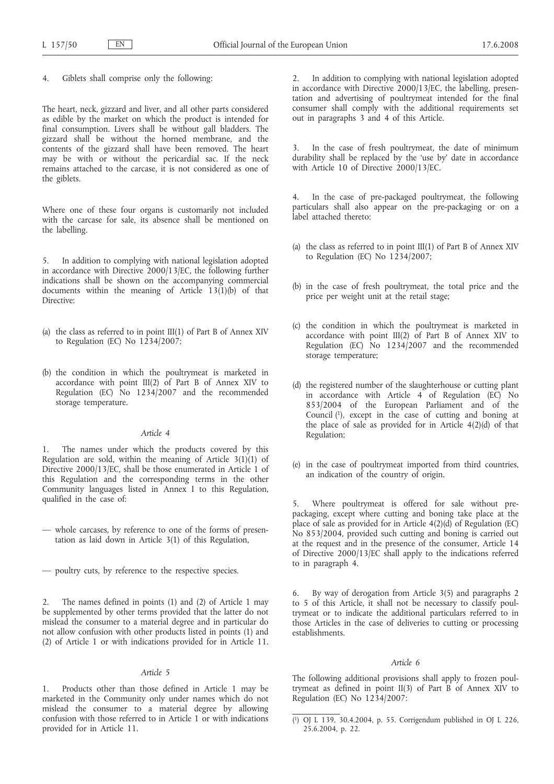Giblets shall comprise only the following:

The heart, neck, gizzard and liver, and all other parts considered as edible by the market on which the product is intended for final consumption. Livers shall be without gall bladders. The gizzard shall be without the horned membrane, and the contents of the gizzard shall have been removed. The heart may be with or without the pericardial sac. If the neck remains attached to the carcase, it is not considered as one of the giblets.

Where one of these four organs is customarily not included with the carcase for sale, its absence shall be mentioned on the labelling.

5. In addition to complying with national legislation adopted in accordance with Directive 2000/13/EC, the following further indications shall be shown on the accompanying commercial documents within the meaning of Article  $13(1)(b)$  of that Directive:

- (a) the class as referred to in point III(1) of Part B of Annex XIV to Regulation (EC) No  $1234/2007$ ;
- (b) the condition in which the poultrymeat is marketed in accordance with point III(2) of Part B of Annex XIV to Regulation (EC) No 1234/2007 and the recommended storage temperature.

## *Article 4*

1. The names under which the products covered by this Regulation are sold, within the meaning of Article  $3(1)(1)$  of Directive 2000/13/EC, shall be those enumerated in Article 1 of this Regulation and the corresponding terms in the other Community languages listed in Annex I to this Regulation, qualified in the case of:

- whole carcases, by reference to one of the forms of presentation as laid down in Article 3(1) of this Regulation,
- poultry cuts, by reference to the respective species.

2. The names defined in points (1) and (2) of Article 1 may be supplemented by other terms provided that the latter do not mislead the consumer to a material degree and in particular do not allow confusion with other products listed in points (1) and (2) of Article 1 or with indications provided for in Article 11.

#### *Article 5*

1. Products other than those defined in Article 1 may be marketed in the Community only under names which do not mislead the consumer to a material degree by allowing confusion with those referred to in Article 1 or with indications provided for in Article 11.

In addition to complying with national legislation adopted in accordance with Directive 2000/13/EC, the labelling, presentation and advertising of poultrymeat intended for the final consumer shall comply with the additional requirements set out in paragraphs 3 and 4 of this Article.

3. In the case of fresh poultrymeat, the date of minimum durability shall be replaced by the 'use by' date in accordance with Article 10 of Directive 2000/13/EC.

4. In the case of pre-packaged poultrymeat, the following particulars shall also appear on the pre-packaging or on a label attached thereto:

- (a) the class as referred to in point III(1) of Part B of Annex XIV to Regulation (EC) No 1234/2007;
- (b) in the case of fresh poultrymeat, the total price and the price per weight unit at the retail stage;
- (c) the condition in which the poultrymeat is marketed in accordance with point III(2) of Part B of Annex XIV to Regulation (EC) No 1234/2007 and the recommended storage temperature;
- (d) the registered number of the slaughterhouse or cutting plant in accordance with Article 4 of Regulation (EC) No 853/2004 of the European Parliament and of the Council  $(1)$ , except in the case of cutting and boning at the place of sale as provided for in Article 4(2)(d) of that Regulation;
- (e) in the case of poultrymeat imported from third countries, an indication of the country of origin.

Where poultrymeat is offered for sale without prepackaging, except where cutting and boning take place at the place of sale as provided for in Article  $4(2)(d)$  of Regulation (EC) No 853/2004, provided such cutting and boning is carried out at the request and in the presence of the consumer, Article 14 of Directive 2000/13/EC shall apply to the indications referred to in paragraph 4.

6. By way of derogation from Article 3(5) and paragraphs 2 to 5 of this Article, it shall not be necessary to classify poultrymeat or to indicate the additional particulars referred to in those Articles in the case of deliveries to cutting or processing establishments.

#### *Article 6*

The following additional provisions shall apply to frozen poultrymeat as defined in point II(3) of Part B of Annex XIV to Regulation (EC) No 1234/2007:

<sup>(</sup> 1) OJ L 139, 30.4.2004, p. 55. Corrigendum published in OJ L 226, 25.6.2004, p. 22.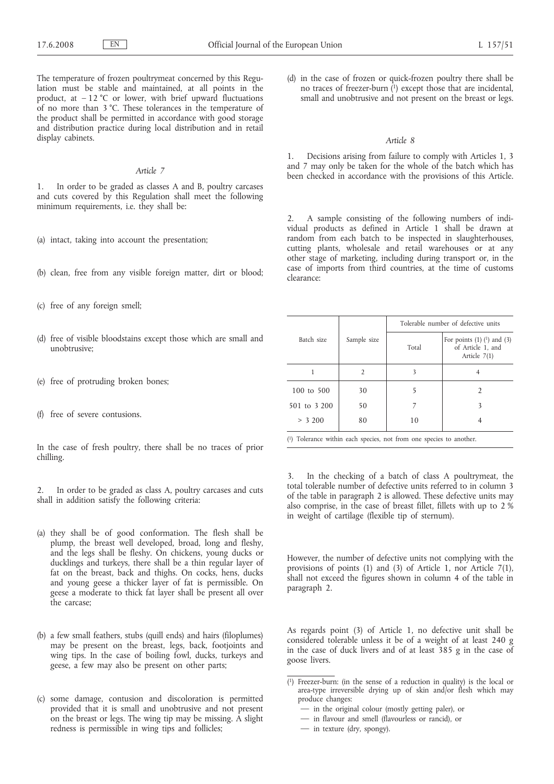The temperature of frozen poultrymeat concerned by this Regulation must be stable and maintained, at all points in the product, at  $-12$  °C or lower, with brief upward fluctuations of no more than 3 °C. These tolerances in the temperature of the product shall be permitted in accordance with good storage and distribution practice during local distribution and in retail display cabinets.

## *Article 7*

1. In order to be graded as classes A and B, poultry carcases and cuts covered by this Regulation shall meet the following minimum requirements, i.e. they shall be:

- (a) intact, taking into account the presentation;
- (b) clean, free from any visible foreign matter, dirt or blood;
- (c) free of any foreign smell;
- (d) free of visible bloodstains except those which are small and unobtrusive;
- (e) free of protruding broken bones;
- (f) free of severe contusions.

In the case of fresh poultry, there shall be no traces of prior chilling.

In order to be graded as class A, poultry carcases and cuts shall in addition satisfy the following criteria:

- (a) they shall be of good conformation. The flesh shall be plump, the breast well developed, broad, long and fleshy, and the legs shall be fleshy. On chickens, young ducks or ducklings and turkeys, there shall be a thin regular layer of fat on the breast, back and thighs. On cocks, hens, ducks and young geese a thicker layer of fat is permissible. On geese a moderate to thick fat layer shall be present all over the carcase;
- (b) a few small feathers, stubs (quill ends) and hairs (filoplumes) may be present on the breast, legs, back, footjoints and wing tips. In the case of boiling fowl, ducks, turkeys and geese, a few may also be present on other parts;
- (c) some damage, contusion and discoloration is permitted provided that it is small and unobtrusive and not present on the breast or legs. The wing tip may be missing. A slight redness is permissible in wing tips and follicles;

(d) in the case of frozen or quick-frozen poultry there shall be no traces of freezer-burn  $(1)$  except those that are incidental, small and unobtrusive and not present on the breast or legs.

#### *Article 8*

Decisions arising from failure to comply with Articles 1, 3 and 7 may only be taken for the whole of the batch which has been checked in accordance with the provisions of this Article.

2. A sample consisting of the following numbers of individual products as defined in Article 1 shall be drawn at random from each batch to be inspected in slaughterhouses, cutting plants, wholesale and retail warehouses or at any other stage of marketing, including during transport or, in the case of imports from third countries, at the time of customs clearance:

|              |                |       | Tolerable number of defective units                                     |
|--------------|----------------|-------|-------------------------------------------------------------------------|
| Batch size   | Sample size    | Total | For points $(1)$ $(1)$ and $(3)$<br>of Article 1, and<br>Article $7(1)$ |
|              | $\overline{2}$ | 3     |                                                                         |
| 100 to 500   | 30             |       |                                                                         |
| 501 to 3 200 | 50             |       |                                                                         |
| > 3,200      | 80             | 10    |                                                                         |

( 1) Tolerance within each species, not from one species to another.

3. In the checking of a batch of class A poultrymeat, the total tolerable number of defective units referred to in column 3 of the table in paragraph 2 is allowed. These defective units may also comprise, in the case of breast fillet, fillets with up to 2 % in weight of cartilage (flexible tip of sternum).

However, the number of defective units not complying with the provisions of points (1) and (3) of Article 1, nor Article 7(1), shall not exceed the figures shown in column 4 of the table in paragraph 2.

As regards point (3) of Article 1, no defective unit shall be considered tolerable unless it be of a weight of at least 240 g in the case of duck livers and of at least 385 g in the case of goose livers.

- in flavour and smell (flavourless or rancid), or
- in texture (dry, spongy).

<sup>(</sup> 1) Freezer-burn: (in the sense of a reduction in quality) is the local or area-type irreversible drying up of skin and/or flesh which may produce changes:

<sup>—</sup> in the original colour (mostly getting paler), or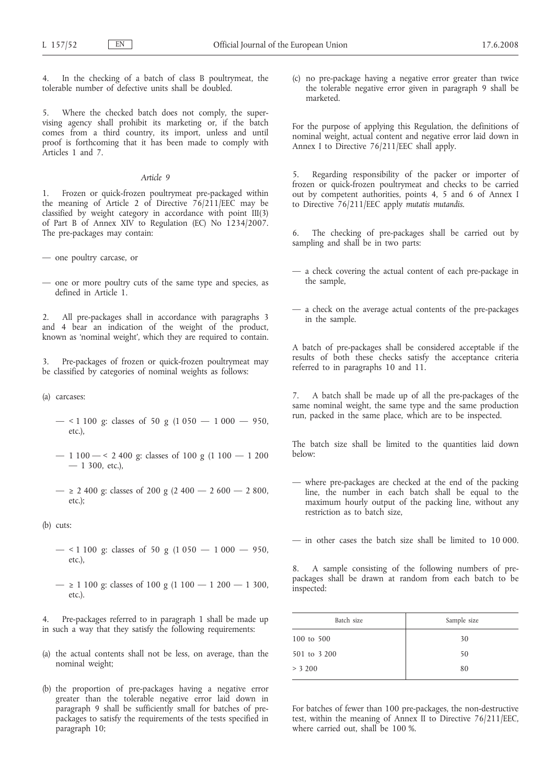4. In the checking of a batch of class B poultrymeat, the tolerable number of defective units shall be doubled.

5. Where the checked batch does not comply, the supervising agency shall prohibit its marketing or, if the batch comes from a third country, its import, unless and until proof is forthcoming that it has been made to comply with Articles 1 and 7.

## *Article 9*

1. Frozen or quick-frozen poultrymeat pre-packaged within the meaning of Article 2 of Directive 76/211/EEC may be classified by weight category in accordance with point III(3) of Part B of Annex XIV to Regulation (EC) No 1234/2007. The pre-packages may contain:

- one poultry carcase, or
- one or more poultry cuts of the same type and species, as defined in Article 1.

2. All pre-packages shall in accordance with paragraphs 3 and 4 bear an indication of the weight of the product, known as 'nominal weight', which they are required to contain.

3. Pre-packages of frozen or quick-frozen poultrymeat may be classified by categories of nominal weights as follows:

- (a) carcases:
	- $-$  < 1 100 g: classes of 50 g (1 050  $-$  1 000  $-$  950, etc.),
	- $-$  1 100  $-$  < 2 400 g: classes of 100 g (1 100  $-$  1 200  $-1$  300, etc.),
	- $-$  ≥ 2 400 g: classes of 200 g (2 400  $-$  2 600  $-$  2 800, etc.);
- (b) cuts:
	- $-$  < 1 100 g: classes of 50 g (1 050  $-$  1 000  $-$  950, etc.),
	- $-$  ≥ 1 100 g: classes of 100 g (1 100  $-$  1 200  $-$  1 300, etc.).

4. Pre-packages referred to in paragraph 1 shall be made up in such a way that they satisfy the following requirements:

- (a) the actual contents shall not be less, on average, than the nominal weight;
- (b) the proportion of pre-packages having a negative error greater than the tolerable negative error laid down in paragraph 9 shall be sufficiently small for batches of prepackages to satisfy the requirements of the tests specified in paragraph 10;

(c) no pre-package having a negative error greater than twice the tolerable negative error given in paragraph 9 shall be marketed.

For the purpose of applying this Regulation, the definitions of nominal weight, actual content and negative error laid down in Annex I to Directive 76/211/EEC shall apply.

5. Regarding responsibility of the packer or importer of frozen or quick-frozen poultrymeat and checks to be carried out by competent authorities, points 4, 5 and 6 of Annex I to Directive 76/211/EEC apply *mutatis mutandis*.

6. The checking of pre-packages shall be carried out by sampling and shall be in two parts:

- a check covering the actual content of each pre-package in the sample,
- a check on the average actual contents of the pre-packages in the sample.

A batch of pre-packages shall be considered acceptable if the results of both these checks satisfy the acceptance criteria referred to in paragraphs 10 and 11.

7. A batch shall be made up of all the pre-packages of the same nominal weight, the same type and the same production run, packed in the same place, which are to be inspected.

The batch size shall be limited to the quantities laid down below:

— where pre-packages are checked at the end of the packing line, the number in each batch shall be equal to the maximum hourly output of the packing line, without any restriction as to batch size,

— in other cases the batch size shall be limited to 10 000.

8. A sample consisting of the following numbers of prepackages shall be drawn at random from each batch to be inspected:

| Batch size   | Sample size |
|--------------|-------------|
| 100 to 500   | 30          |
| 501 to 3 200 | 50          |
| > 3,200      | 80          |

For batches of fewer than 100 pre-packages, the non-destructive test, within the meaning of Annex II to Directive 76/211/EEC, where carried out, shall be 100 %.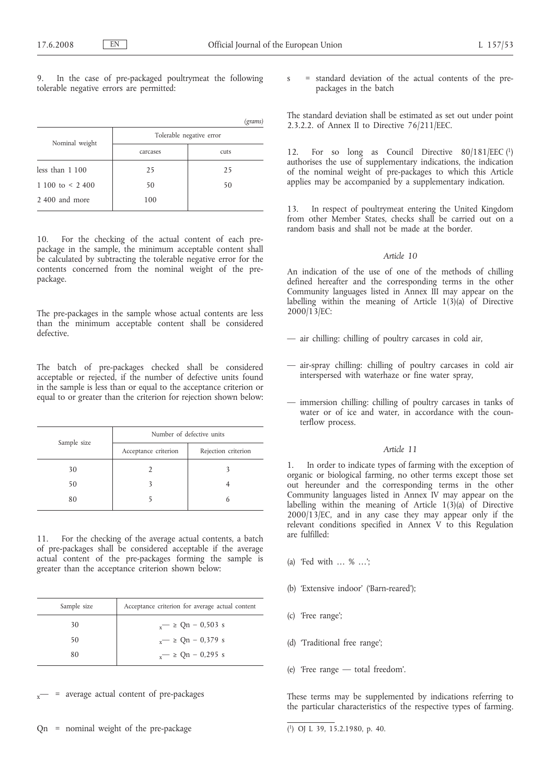In the case of pre-packaged poultrymeat the following tolerable negative errors are permitted:

|                       |                          | (grams) |
|-----------------------|--------------------------|---------|
| Nominal weight        | Tolerable negative error |         |
|                       | carcases                 | cuts    |
| less than $1100$      | 25                       | 25      |
| 1 100 to $\leq$ 2 400 | 50                       | 50      |
| 2,400 and more        | 100                      |         |

10. For the checking of the actual content of each prepackage in the sample, the minimum acceptable content shall be calculated by subtracting the tolerable negative error for the contents concerned from the nominal weight of the prepackage.

The pre-packages in the sample whose actual contents are less than the minimum acceptable content shall be considered defective.

The batch of pre-packages checked shall be considered acceptable or rejected, if the number of defective units found in the sample is less than or equal to the acceptance criterion or equal to or greater than the criterion for rejection shown below:

| Sample size | Number of defective units |                     |
|-------------|---------------------------|---------------------|
|             | Acceptance criterion      | Rejection criterion |
| 30          |                           |                     |
| 50          |                           |                     |
| 80          |                           |                     |

11. For the checking of the average actual contents, a batch of pre-packages shall be considered acceptable if the average actual content of the pre-packages forming the sample is greater than the acceptance criterion shown below:

| Sample size | Acceptance criterion for average actual content |
|-------------|-------------------------------------------------|
| 30          | $v = \ge Qn - 0.503$ s                          |
| 50          | $\sim$ $\ge$ Qn – 0.379 s                       |
| 80          | $v = \ge Qn - 0.295$ s                          |
|             |                                                 |

= average actual content of pre-packages

Qn = nominal weight of the pre-package

= standard deviation of the actual contents of the prepackages in the batch

The standard deviation shall be estimated as set out under point 2.3.2.2. of Annex II to Directive 76/211/EEC.

12. For so long as Council Directive 80/181/EEC (1) authorises the use of supplementary indications, the indication of the nominal weight of pre-packages to which this Article applies may be accompanied by a supplementary indication.

13. In respect of poultrymeat entering the United Kingdom from other Member States, checks shall be carried out on a random basis and shall not be made at the border.

## *Article 10*

An indication of the use of one of the methods of chilling defined hereafter and the corresponding terms in the other Community languages listed in Annex III may appear on the labelling within the meaning of Article  $1(3)(a)$  of Directive 2000/13/EC:

- air chilling: chilling of poultry carcases in cold air,
- air-spray chilling: chilling of poultry carcases in cold air interspersed with waterhaze or fine water spray,
- immersion chilling: chilling of poultry carcases in tanks of water or of ice and water, in accordance with the counterflow process.

#### *Article 11*

1. In order to indicate types of farming with the exception of organic or biological farming, no other terms except those set out hereunder and the corresponding terms in the other Community languages listed in Annex IV may appear on the labelling within the meaning of Article  $1(3)(a)$  of Directive 2000/13/EC, and in any case they may appear only if the relevant conditions specified in Annex V to this Regulation are fulfilled:

- (a) 'Fed with … % …';
- (b) 'Extensive indoor' ('Barn-reared');
- (c) 'Free range';
- (d) 'Traditional free range';
- (e) 'Free range total freedom'.

These terms may be supplemented by indications referring to the particular characteristics of the respective types of farming.

<sup>(</sup> 1) OJ L 39, 15.2.1980, p. 40.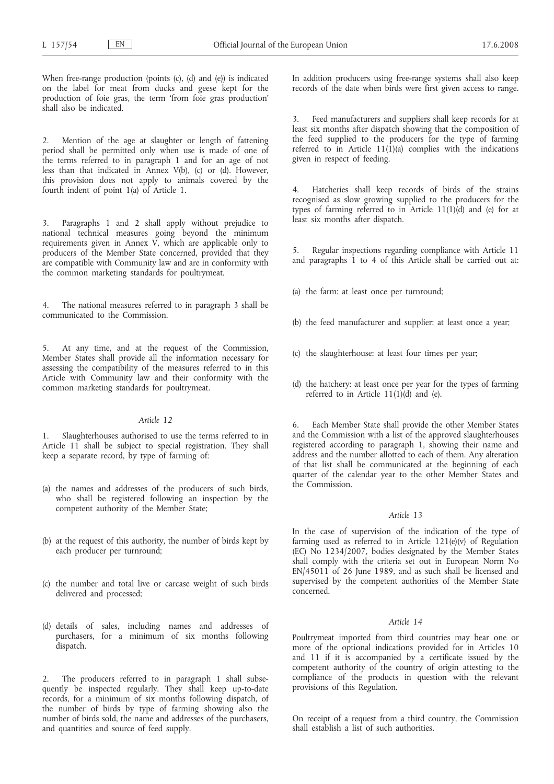When free-range production (points (c), (d) and (e)) is indicated on the label for meat from ducks and geese kept for the production of foie gras, the term 'from foie gras production' shall also be indicated.

2. Mention of the age at slaughter or length of fattening period shall be permitted only when use is made of one of the terms referred to in paragraph 1 and for an age of not less than that indicated in Annex V(b), (c) or (d). However, this provision does not apply to animals covered by the fourth indent of point 1(a) of Article 1.

3. Paragraphs 1 and 2 shall apply without prejudice to national technical measures going beyond the minimum requirements given in Annex V, which are applicable only to producers of the Member State concerned, provided that they are compatible with Community law and are in conformity with the common marketing standards for poultrymeat.

4. The national measures referred to in paragraph 3 shall be communicated to the Commission.

5. At any time, and at the request of the Commission, Member States shall provide all the information necessary for assessing the compatibility of the measures referred to in this Article with Community law and their conformity with the common marketing standards for poultrymeat.

#### *Article 12*

Slaughterhouses authorised to use the terms referred to in Article 11 shall be subject to special registration. They shall keep a separate record, by type of farming of:

- (a) the names and addresses of the producers of such birds, who shall be registered following an inspection by the competent authority of the Member State;
- (b) at the request of this authority, the number of birds kept by each producer per turnround;
- (c) the number and total live or carcase weight of such birds delivered and processed;
- (d) details of sales, including names and addresses of purchasers, for a minimum of six months following dispatch.

2. The producers referred to in paragraph 1 shall subsequently be inspected regularly. They shall keep up-to-date records, for a minimum of six months following dispatch, of the number of birds by type of farming showing also the number of birds sold, the name and addresses of the purchasers, and quantities and source of feed supply.

In addition producers using free-range systems shall also keep records of the date when birds were first given access to range.

3. Feed manufacturers and suppliers shall keep records for at least six months after dispatch showing that the composition of the feed supplied to the producers for the type of farming referred to in Article  $11(1)(a)$  complies with the indications given in respect of feeding.

4. Hatcheries shall keep records of birds of the strains recognised as slow growing supplied to the producers for the types of farming referred to in Article  $11(1)(d)$  and (e) for at least six months after dispatch.

5. Regular inspections regarding compliance with Article 11 and paragraphs 1 to 4 of this Article shall be carried out at:

- (a) the farm: at least once per turnround;
- (b) the feed manufacturer and supplier: at least once a year;
- (c) the slaughterhouse: at least four times per year;
- (d) the hatchery: at least once per year for the types of farming referred to in Article 11(1)(d) and (e).

6. Each Member State shall provide the other Member States and the Commission with a list of the approved slaughterhouses registered according to paragraph 1, showing their name and address and the number allotted to each of them. Any alteration of that list shall be communicated at the beginning of each quarter of the calendar year to the other Member States and the Commission.

## *Article 13*

In the case of supervision of the indication of the type of farming used as referred to in Article 121(e)(v) of Regulation (EC) No 1234/2007, bodies designated by the Member States shall comply with the criteria set out in European Norm No EN/45011 of 26 June 1989, and as such shall be licensed and supervised by the competent authorities of the Member State concerned.

## *Article 14*

Poultrymeat imported from third countries may bear one or more of the optional indications provided for in Articles 10 and 11 if it is accompanied by a certificate issued by the competent authority of the country of origin attesting to the compliance of the products in question with the relevant provisions of this Regulation.

On receipt of a request from a third country, the Commission shall establish a list of such authorities.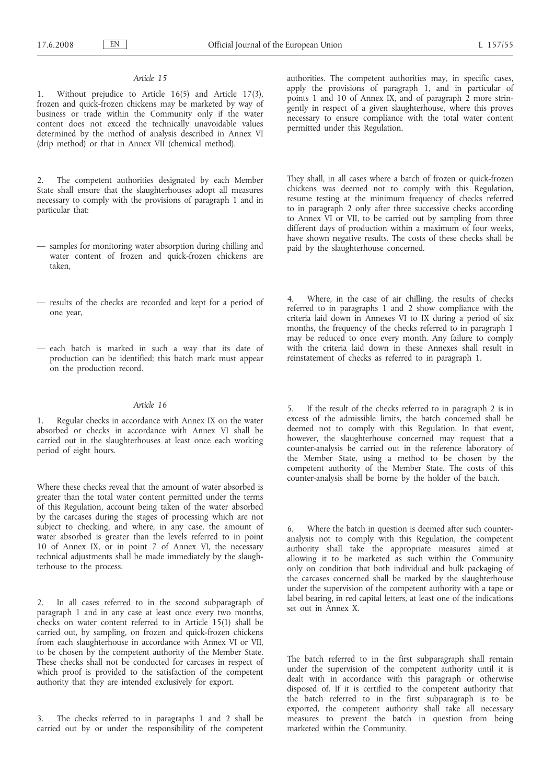## *Article 15*

1. Without prejudice to Article 16(5) and Article 17(3), frozen and quick-frozen chickens may be marketed by way of business or trade within the Community only if the water content does not exceed the technically unavoidable values determined by the method of analysis described in Annex VI (drip method) or that in Annex VII (chemical method).

2. The competent authorities designated by each Member State shall ensure that the slaughterhouses adopt all measures necessary to comply with the provisions of paragraph 1 and in particular that:

- samples for monitoring water absorption during chilling and water content of frozen and quick-frozen chickens are taken,
- results of the checks are recorded and kept for a period of one year,
- each batch is marked in such a way that its date of production can be identified; this batch mark must appear on the production record.

## *Article 16*

1. Regular checks in accordance with Annex IX on the water absorbed or checks in accordance with Annex VI shall be carried out in the slaughterhouses at least once each working period of eight hours.

Where these checks reveal that the amount of water absorbed is greater than the total water content permitted under the terms of this Regulation, account being taken of the water absorbed by the carcases during the stages of processing which are not subject to checking, and where, in any case, the amount of water absorbed is greater than the levels referred to in point 10 of Annex IX, or in point 7 of Annex VI, the necessary technical adjustments shall be made immediately by the slaughterhouse to the process.

2. In all cases referred to in the second subparagraph of paragraph 1 and in any case at least once every two months, checks on water content referred to in Article 15(1) shall be carried out, by sampling, on frozen and quick-frozen chickens from each slaughterhouse in accordance with Annex VI or VII, to be chosen by the competent authority of the Member State. These checks shall not be conducted for carcases in respect of which proof is provided to the satisfaction of the competent authority that they are intended exclusively for export.

3. The checks referred to in paragraphs 1 and 2 shall be carried out by or under the responsibility of the competent

authorities. The competent authorities may, in specific cases, apply the provisions of paragraph 1, and in particular of points 1 and 10 of Annex IX, and of paragraph 2 more stringently in respect of a given slaughterhouse, where this proves necessary to ensure compliance with the total water content permitted under this Regulation.

They shall, in all cases where a batch of frozen or quick-frozen chickens was deemed not to comply with this Regulation, resume testing at the minimum frequency of checks referred to in paragraph 2 only after three successive checks according to Annex VI or VII, to be carried out by sampling from three different days of production within a maximum of four weeks, have shown negative results. The costs of these checks shall be paid by the slaughterhouse concerned.

4. Where, in the case of air chilling, the results of checks referred to in paragraphs 1 and 2 show compliance with the criteria laid down in Annexes VI to IX during a period of six months, the frequency of the checks referred to in paragraph 1 may be reduced to once every month. Any failure to comply with the criteria laid down in these Annexes shall result in reinstatement of checks as referred to in paragraph 1.

5. If the result of the checks referred to in paragraph 2 is in excess of the admissible limits, the batch concerned shall be deemed not to comply with this Regulation. In that event, however, the slaughterhouse concerned may request that a counter-analysis be carried out in the reference laboratory of the Member State, using a method to be chosen by the competent authority of the Member State. The costs of this counter-analysis shall be borne by the holder of the batch.

6. Where the batch in question is deemed after such counteranalysis not to comply with this Regulation, the competent authority shall take the appropriate measures aimed at allowing it to be marketed as such within the Community only on condition that both individual and bulk packaging of the carcases concerned shall be marked by the slaughterhouse under the supervision of the competent authority with a tape or label bearing, in red capital letters, at least one of the indications set out in Annex X.

The batch referred to in the first subparagraph shall remain under the supervision of the competent authority until it is dealt with in accordance with this paragraph or otherwise disposed of. If it is certified to the competent authority that the batch referred to in the first subparagraph is to be exported, the competent authority shall take all necessary measures to prevent the batch in question from being marketed within the Community.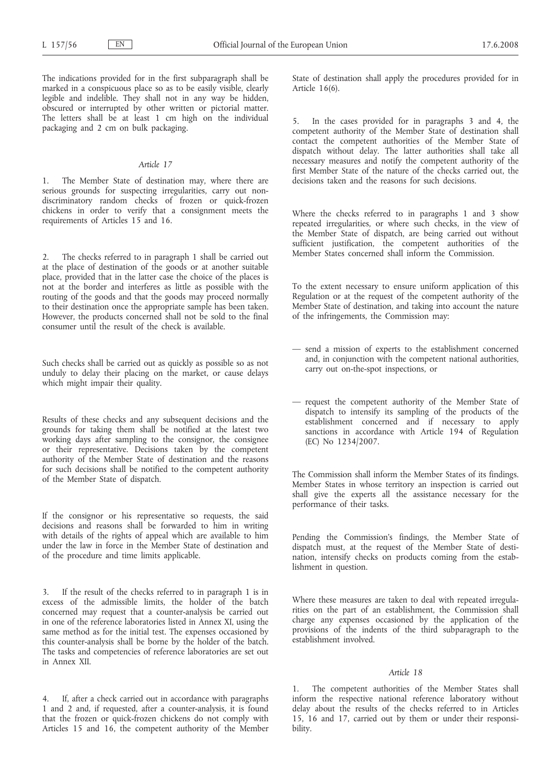The indications provided for in the first subparagraph shall be marked in a conspicuous place so as to be easily visible, clearly legible and indelible. They shall not in any way be hidden, obscured or interrupted by other written or pictorial matter. The letters shall be at least 1 cm high on the individual packaging and 2 cm on bulk packaging.

#### *Article 17*

The Member State of destination may, where there are serious grounds for suspecting irregularities, carry out nondiscriminatory random checks of frozen or quick-frozen chickens in order to verify that a consignment meets the requirements of Articles 15 and 16.

2. The checks referred to in paragraph 1 shall be carried out at the place of destination of the goods or at another suitable place, provided that in the latter case the choice of the places is not at the border and interferes as little as possible with the routing of the goods and that the goods may proceed normally to their destination once the appropriate sample has been taken. However, the products concerned shall not be sold to the final consumer until the result of the check is available.

Such checks shall be carried out as quickly as possible so as not unduly to delay their placing on the market, or cause delays which might impair their quality.

Results of these checks and any subsequent decisions and the grounds for taking them shall be notified at the latest two working days after sampling to the consignor, the consignee or their representative. Decisions taken by the competent authority of the Member State of destination and the reasons for such decisions shall be notified to the competent authority of the Member State of dispatch.

If the consignor or his representative so requests, the said decisions and reasons shall be forwarded to him in writing with details of the rights of appeal which are available to him under the law in force in the Member State of destination and of the procedure and time limits applicable.

3. If the result of the checks referred to in paragraph 1 is in excess of the admissible limits, the holder of the batch concerned may request that a counter-analysis be carried out in one of the reference laboratories listed in Annex XI, using the same method as for the initial test. The expenses occasioned by this counter-analysis shall be borne by the holder of the batch. The tasks and competencies of reference laboratories are set out in Annex XII.

4. If, after a check carried out in accordance with paragraphs 1 and 2 and, if requested, after a counter-analysis, it is found that the frozen or quick-frozen chickens do not comply with Articles 15 and 16, the competent authority of the Member State of destination shall apply the procedures provided for in Article 16(6).

5. In the cases provided for in paragraphs 3 and 4, the competent authority of the Member State of destination shall contact the competent authorities of the Member State of dispatch without delay. The latter authorities shall take all necessary measures and notify the competent authority of the first Member State of the nature of the checks carried out, the decisions taken and the reasons for such decisions.

Where the checks referred to in paragraphs 1 and 3 show repeated irregularities, or where such checks, in the view of the Member State of dispatch, are being carried out without sufficient justification, the competent authorities of the Member States concerned shall inform the Commission.

To the extent necessary to ensure uniform application of this Regulation or at the request of the competent authority of the Member State of destination, and taking into account the nature of the infringements, the Commission may:

- send a mission of experts to the establishment concerned and, in conjunction with the competent national authorities, carry out on-the-spot inspections, or
- request the competent authority of the Member State of dispatch to intensify its sampling of the products of the establishment concerned and if necessary to apply sanctions in accordance with Article 194 of Regulation (EC) No 1234/2007.

The Commission shall inform the Member States of its findings. Member States in whose territory an inspection is carried out shall give the experts all the assistance necessary for the performance of their tasks.

Pending the Commission's findings, the Member State of dispatch must, at the request of the Member State of destination, intensify checks on products coming from the establishment in question.

Where these measures are taken to deal with repeated irregularities on the part of an establishment, the Commission shall charge any expenses occasioned by the application of the provisions of the indents of the third subparagraph to the establishment involved.

## *Article 18*

The competent authorities of the Member States shall inform the respective national reference laboratory without delay about the results of the checks referred to in Articles 15, 16 and 17, carried out by them or under their responsibility.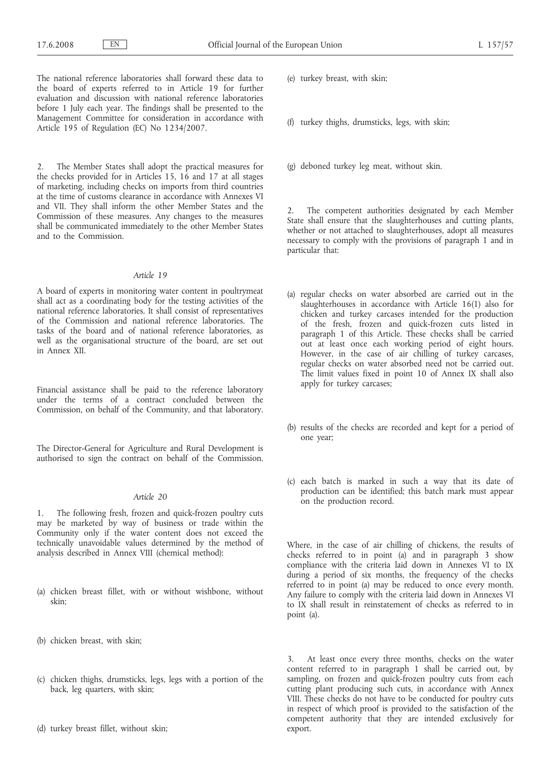The national reference laboratories shall forward these data to the board of experts referred to in Article 19 for further evaluation and discussion with national reference laboratories before 1 July each year. The findings shall be presented to the Management Committee for consideration in accordance with Article 195 of Regulation (EC) No 1234/2007.

The Member States shall adopt the practical measures for the checks provided for in Articles 15, 16 and 17 at all stages of marketing, including checks on imports from third countries at the time of customs clearance in accordance with Annexes VI and VII. They shall inform the other Member States and the Commission of these measures. Any changes to the measures shall be communicated immediately to the other Member States and to the Commission.

#### *Article 19*

A board of experts in monitoring water content in poultrymeat shall act as a coordinating body for the testing activities of the national reference laboratories. It shall consist of representatives of the Commission and national reference laboratories. The tasks of the board and of national reference laboratories, as well as the organisational structure of the board, are set out in Annex XII.

Financial assistance shall be paid to the reference laboratory under the terms of a contract concluded between the Commission, on behalf of the Community, and that laboratory.

The Director-General for Agriculture and Rural Development is authorised to sign the contract on behalf of the Commission.

## *Article 20*

1. The following fresh, frozen and quick-frozen poultry cuts may be marketed by way of business or trade within the Community only if the water content does not exceed the technically unavoidable values determined by the method of analysis described in Annex VIII (chemical method):

- (a) chicken breast fillet, with or without wishbone, without skin;
- (b) chicken breast, with skin;
- (c) chicken thighs, drumsticks, legs, legs with a portion of the back, leg quarters, with skin;
- (d) turkey breast fillet, without skin;
- (e) turkey breast, with skin;
- (f) turkey thighs, drumsticks, legs, with skin;
- (g) deboned turkey leg meat, without skin.

2. The competent authorities designated by each Member State shall ensure that the slaughterhouses and cutting plants, whether or not attached to slaughterhouses, adopt all measures necessary to comply with the provisions of paragraph 1 and in particular that:

- (a) regular checks on water absorbed are carried out in the slaughterhouses in accordance with Article 16(1) also for chicken and turkey carcases intended for the production of the fresh, frozen and quick-frozen cuts listed in paragraph 1 of this Article. These checks shall be carried out at least once each working period of eight hours. However, in the case of air chilling of turkey carcases, regular checks on water absorbed need not be carried out. The limit values fixed in point 10 of Annex IX shall also apply for turkey carcases;
- (b) results of the checks are recorded and kept for a period of one year;
- (c) each batch is marked in such a way that its date of production can be identified; this batch mark must appear on the production record.

Where, in the case of air chilling of chickens, the results of checks referred to in point (a) and in paragraph  $3$  show compliance with the criteria laid down in Annexes VI to IX during a period of six months, the frequency of the checks referred to in point (a) may be reduced to once every month. Any failure to comply with the criteria laid down in Annexes VI to IX shall result in reinstatement of checks as referred to in point (a).

3. At least once every three months, checks on the water content referred to in paragraph 1 shall be carried out, by sampling, on frozen and quick-frozen poultry cuts from each cutting plant producing such cuts, in accordance with Annex VIII. These checks do not have to be conducted for poultry cuts in respect of which proof is provided to the satisfaction of the competent authority that they are intended exclusively for export.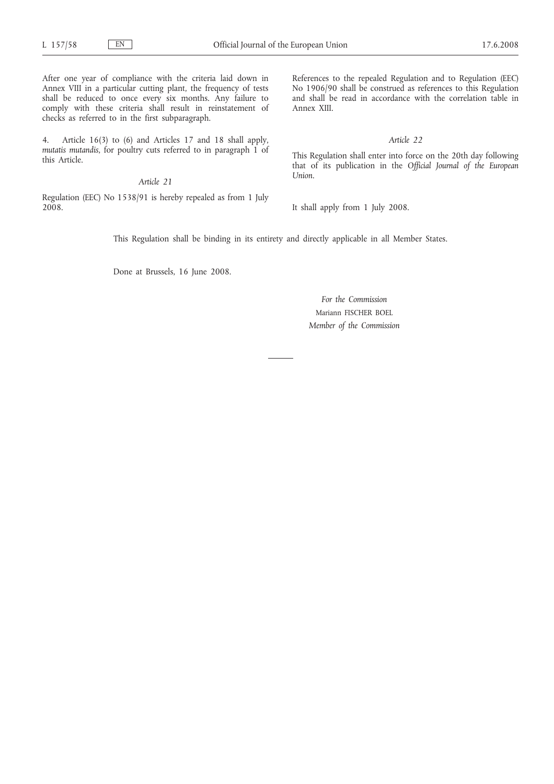After one year of compliance with the criteria laid down in Annex VIII in a particular cutting plant, the frequency of tests shall be reduced to once every six months. Any failure to comply with these criteria shall result in reinstatement of checks as referred to in the first subparagraph.

4. Article 16(3) to (6) and Articles 17 and 18 shall apply, *mutatis mutandis*, for poultry cuts referred to in paragraph 1 of this Article.

## *Article 21*

Regulation (EEC) No 1538/91 is hereby repealed as from 1 July 2008.

References to the repealed Regulation and to Regulation (EEC) No 1906/90 shall be construed as references to this Regulation and shall be read in accordance with the correlation table in Annex XIII.

*Article 22*

This Regulation shall enter into force on the 20th day following that of its publication in the *Official Journal of the European Union*.

It shall apply from 1 July 2008.

This Regulation shall be binding in its entirety and directly applicable in all Member States.

Done at Brussels, 16 June 2008.

*For the Commission* Mariann FISCHER BOEL *Member of the Commission*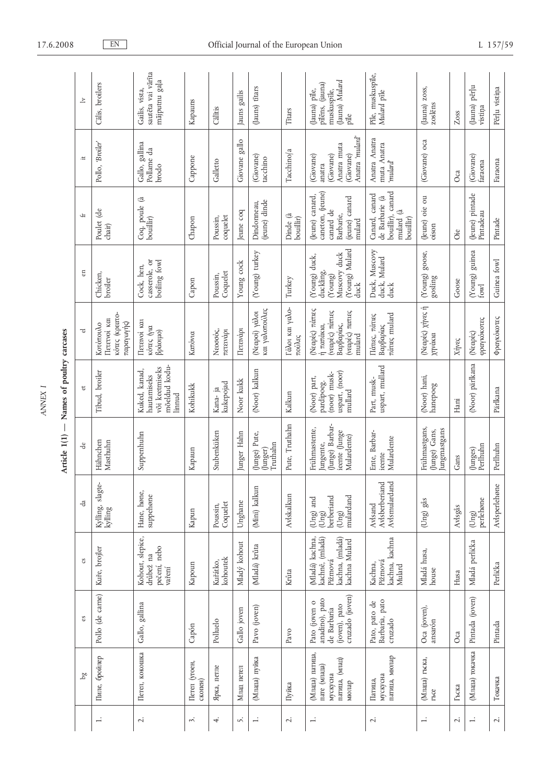|                                                                        |                                                                                    |                                                                                  |                                                                              | $\bigg  \hspace{1cm}$<br>Article 1(1)                                        | Names of poultry carcases                                                 |                                                                                               |                                                                                                        |                                                                                           |                                                                                           |                                                                           |
|------------------------------------------------------------------------|------------------------------------------------------------------------------------|----------------------------------------------------------------------------------|------------------------------------------------------------------------------|------------------------------------------------------------------------------|---------------------------------------------------------------------------|-----------------------------------------------------------------------------------------------|--------------------------------------------------------------------------------------------------------|-------------------------------------------------------------------------------------------|-------------------------------------------------------------------------------------------|---------------------------------------------------------------------------|
| g <sub>d</sub>                                                         | S                                                                                  | °S                                                                               | ď                                                                            | ಕೆ                                                                           | đ                                                                         | ರ                                                                                             | en                                                                                                     | $\pm$                                                                                     | $\ddot{ }$                                                                                | $\geq$                                                                    |
| Пиле, бройлер                                                          | Pollo (de carne)                                                                   | Kuře, brojler                                                                    | slagte-<br>Kylling,<br>kylling                                               | Hähnchen<br>Masthuhn                                                         | Tibud, broiler                                                            | κότες (κρεατο-<br>Terervoi ka<br>παραγωγής)<br>Κοτόπουλο                                      | Chicken,<br>broiler                                                                                    | Poulet (de<br>chair)                                                                      | Pollo, 'Broiler'                                                                          | Calis, broilers                                                           |
| Петел, кокошка                                                         | Gallo, gallina                                                                     | Kohout, slepice,<br>pečení, nebo<br>drůbež na<br>vaření                          | Hane, høne,<br>suppehøne                                                     | Suppenhuhn                                                                   | mõeldud kodu-<br>või keetmiseks<br>Kuked, kanad,<br>hautamiseks<br>linnud | Tereivoi ka<br>κότες (για<br>βράσιμο)                                                         | casserole, or<br>boiling fowl<br>Cock, hen,                                                            | Coq, poule (à<br>bouillir)                                                                | Gallo, gallina<br>Pollame da<br>brodo                                                     | sautēta vai vārīta<br>mājputnu gaļa<br>Gailis, vista,                     |
| Петел (угоен,<br>скопен)                                               | Capón                                                                              | Kapoun                                                                           | Kapun                                                                        | Kapaun                                                                       | Kohikukk                                                                  | Καπόνια                                                                                       | Capon                                                                                                  | Chapon                                                                                    | Cappone                                                                                   | Kapauns                                                                   |
| Ярка, петле                                                            | Polluelo                                                                           | kohoutek<br>Kuřátko,                                                             | Coquelet<br>Poussin,                                                         | Stubenküken                                                                  | kukepojad<br>Kana- ja                                                     | Νεοσσός,<br>πετεινάρι                                                                         | Coquelet<br>Poussin,                                                                                   | coquelet<br>Poussin,                                                                      | Galletto                                                                                  | Calītis                                                                   |
| Млад петел                                                             | Gallo joven                                                                        | Mladý kohout                                                                     | Unghane                                                                      | Junger Hahn                                                                  | Noor kukk                                                                 | Πετεινάρι                                                                                     | Young cock                                                                                             | leune coq                                                                                 | Giovane gallo                                                                             | Jauns gailis                                                              |
| (Млада) пуйка                                                          | Pavo (joven)                                                                       | Mladá) krůta                                                                     | (Mini) kalkun                                                                | (Junge) Pute,<br>Truthahn<br>(Junger)                                        | (Noor) kalkun                                                             | και γαλοπούλες<br>(Neapoi) yalon                                                              | (Young) turkey                                                                                         | (jeune) dinde<br>Dindonneau,                                                              | (Giovane)<br>tacchino                                                                     | (Jauns) fitars                                                            |
| Пуйка                                                                  | Pavo                                                                               | Krůta                                                                            | Avlskalkun                                                                   | Pute, Truthahn                                                               | Kalkun                                                                    | Γάλοι και γαλο-<br>πούλες                                                                     | Turkey                                                                                                 | Dinde (à<br>bouillir)                                                                     | Tacchino/a                                                                                | Titars                                                                    |
| (Млада) патица,<br>патица, (млад)<br>пате (млада)<br>мускусна<br>мюлар | cruzado (joven)<br>anadino), pato<br>Pato (joven o<br>(joven), pato<br>de Barbaria | Mladá) kachna,<br>kachnê, (mladá)<br>kachna, (mladá)<br>kachna Mulard<br>Pižmová | mulardand<br>berberiand<br>(Ung) and<br>$(\mathrm{Ung})$<br>$(\mathrm{Ung})$ | Junge) Barbar-<br>Frühmastente,<br>ieente (Junge<br>Mulardente)<br>lungente, | uspart, (noor)<br>(noor) musk-<br>(Noor) part,<br>pardipoeg.<br>mullard   | (Neapec) ridiries<br>(νεαρές) πάπιες<br>(νεαρές) παπιες<br>Βαρβαρίας,<br>ή παπάκια,<br>mulard | (Young) Mulard<br>Muscovy duck<br>(Young) duck,<br>duckling,<br>$\left( \mathbf{Young}\right)$<br>duck | caneton, (jeune)<br>(Jeune) canard,<br>(jeune) canard<br>canard de<br>Barbarie,<br>mulard | hulard' <sub>nulard</sub><br>Anatra muta<br>(Giovane)<br>(Giovane)<br>(Giovane)<br>anatra | (Jauna) Mulard<br>pīlēns, (jauna)<br>(Jauna) pile,<br>muskuspīle,<br>pile |
| патица, мюлар<br>мускусна<br>Патица,                                   | Barbaria, pato<br>Pato, pato de<br>cruzado                                         | kachna, kachna<br>Pižmová<br>Kachna,<br>Mulard                                   | Avlsmulardand<br>Avlsberberiand<br>Avlsand                                   | Ente, Barbar-<br>Mulardente<br>ieente                                        | uspart, mullard<br>Part, musk-                                            | πάτιες mulard<br>Πάτιες, πάτιες<br>Βαρβαρίας                                                  | Duck, Muscovy<br>duck, Mulard<br>duck                                                                  | bouillir), canard<br>Canard, canard<br>de Barbarie (à<br>્તિ<br>bouillir)<br>mulard       | Anatra Anatra<br>muta Anatra<br>'mulard'                                                  | Pile, muskuspile,<br>Mulard pile                                          |
| (Млада) гъска,<br>TbC                                                  | Oca (joven),<br>ansarón                                                            | Mladá husa,<br>house                                                             | (Ung) gås                                                                    | Frühmastgans,<br>lungmastgans<br>(Junge) Gans,                               | (Noor) hani,<br>hanepoeg                                                  | (Neapec) xilves i<br>χηνάκια                                                                  | goose,<br>$(\operatorname*{Ycomp})$<br>gosling                                                         | (Jeune) oie ou<br>oison                                                                   | (Giovane) oca                                                                             | (Jauna) zoss,<br>zoslēns                                                  |
| Гъска                                                                  | Oca                                                                                | Husa                                                                             | $\mathbf{A}\mathbf{v}$ lsgås                                                 | Gans                                                                         | Hani                                                                      | Xilvec                                                                                        | Goose                                                                                                  | öie                                                                                       | Oca                                                                                       | Zoss                                                                      |
| (Млада) токачка                                                        | Pintada (joven)                                                                    | Mladá perlička                                                                   | perlehøne<br>$(\mathrm{Ung})$                                                | (Junges)<br>Perlhuhn                                                         | (Noor) pärlkana                                                           | φραγκόκοτες<br>(Neapec)                                                                       | guinea<br>(Young)<br>fowl                                                                              | (Jeune) pintade<br>Pintadeau                                                              | (Giovane)<br>faraona                                                                      | (Jauna) pērļu<br>vistiņa                                                  |
| Токачка                                                                | Pintada                                                                            | Perlička                                                                         | Avlsperlehøne                                                                | Perlhuhn                                                                     | Pärlkana                                                                  | Φραγκόκοτες                                                                                   | Guinea fowl                                                                                            | Pintade                                                                                   | Faraona                                                                                   | Pērļu vistiņa                                                             |

 $\mathcal{A}$  $\overline{a}$ 

 $\Lambda \text{NNEX}$  I *ANNEX I*

# 17.6.2008 EN Official Journal of the European Union L 157/59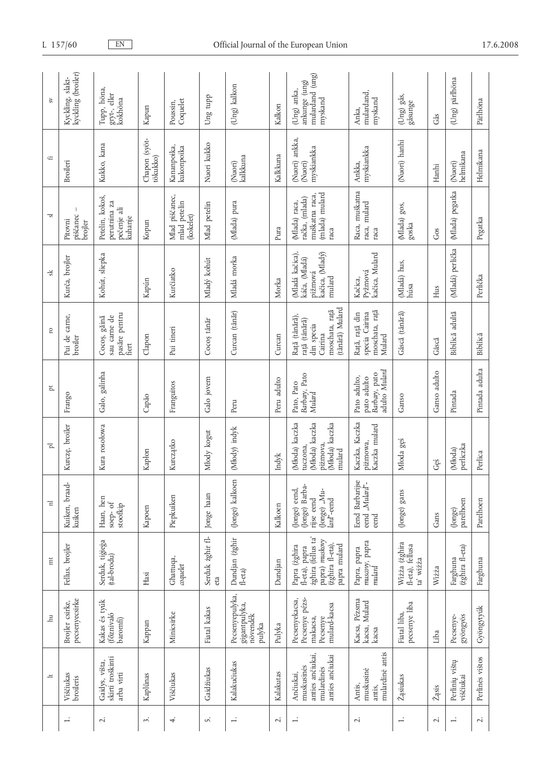| Brojler csirke,<br>$\vec{E}$  | $\overline{m}$                                                                                              | $\overline{\Xi}$                                                           | 'n,                                                                                | $\overline{p}$                                                | <b>p</b>                                                                                      | $s\ddot{k}$                                                              | 51                                                                         | $\leftarrow$                            | $S_{V}$                                                    |
|-------------------------------|-------------------------------------------------------------------------------------------------------------|----------------------------------------------------------------------------|------------------------------------------------------------------------------------|---------------------------------------------------------------|-----------------------------------------------------------------------------------------------|--------------------------------------------------------------------------|----------------------------------------------------------------------------|-----------------------------------------|------------------------------------------------------------|
|                               | Fellus, brojler                                                                                             | Kuiken, braad-<br>kuiken                                                   | Kurczę, broiler                                                                    | Frango                                                        | Pui de carne,<br>broiler                                                                      | Kurča, brojler                                                           | piščanec<br>Pitovni<br>brojler                                             | Broileri                                | kyckling (broiler)<br>Kyckling, slakt-                     |
| (tal-brodu)                   | Serduk, tigiega                                                                                             | Haan, hen<br>soep- of<br>stoofkip                                          | Kura rosołowa                                                                      | Galo, galinha                                                 | pasăre pentru<br>sau carne de<br>Cocoș, găină<br>fiert                                        | Kohút, sliepka                                                           | Petelin, kokoš,<br>perutnina za<br>pečenje ali<br>kuhanje                  | Kukko, kana                             | Tupp, höna,<br>gryt-, eller<br>kokhöna                     |
| Hasi                          |                                                                                                             | Kapoen                                                                     | Kapłon                                                                             | Capão                                                         | Clapon                                                                                        | Kapún                                                                    | Kopun                                                                      | Chapon (syöt-<br>tökukko)               | Kapun                                                      |
| Ghattuqa,<br>$\emph{copulet}$ |                                                                                                             | Piepkuiken                                                                 | Kurczątko                                                                          | Franguitos                                                    | Pui tineri                                                                                    | Kurčiatko                                                                | Mlad piščanec,<br>mlad petelin<br>(kokelet)                                | Kananpoika,<br>kukonpoika               | Coquelet<br>Poussin,                                       |
| eta                           | Serduk żghir fl-                                                                                            | Jonge haan                                                                 | Mody kogut                                                                         | Galo jovem                                                    | Cocoș tânăr                                                                                   | Mladý kohút                                                              | Mlad petelin                                                               | Nuori kukko                             | Ung tupp                                                   |
| fl-eta $)$                    | Dundjan (żghir                                                                                              | (Jonge) kalkoen                                                            | (Młody) indyk                                                                      | Peru                                                          | Curcan (tânăr)                                                                                | Mladá morka                                                              | (Mlada) pura                                                               | (Nuori)<br>kalkkuna                     | (Ung) kalkon                                               |
| Dundjan                       |                                                                                                             | Kalkoen                                                                    | Indyk                                                                              | Peru adulto                                                   | Curcan                                                                                        | Morka                                                                    | Pura                                                                       | Kalkkuna                                | Kalkon                                                     |
|                               | zghira (fellus ta'<br>papra) muskovy<br>(żghira fl-eta),<br>papra mulard<br>Papra (żghira<br>fl-éta), papra | (Jonge) Barba-<br>(Jonge) eend,<br>Jonge) "Mu-<br>rijse eend<br>lard"-eend | Młoda) kaczka<br>Młoda) kaczka<br>(Młoda) kaczka<br>piżmova,<br>tuczona,<br>mulard | Barbary, Pato<br>Pato, Pato<br>Mulard                         | (tânără) Mulard<br>moschata, rață<br>Rață (tânără),<br>rață (tânără)<br>din specia<br>Cairina | (Mladá kačica),<br>kačica, (Mladý)<br>káča, (Mladá)<br>pižmová<br>mulard | (mlada) mulard<br>muškatna raca<br>račka, (mlada)<br>(Mlada) raca,<br>raca | (Nuori) ankka,<br>myskiankka<br>(Nuori) | mulardand (ung)<br>ankunge (ung)<br>(Ung) anka,<br>myskand |
|                               | muscovy, papra<br>mulard<br>Papra, papra                                                                    | Eend Barbarijse<br>eend "Mulard"-<br>eend                                  | Kaczka, Kaczka<br>Kaczka mulard<br>piżmowa,                                        | adulto Mulard<br>Barbary, pato<br>Pato adulto,<br>pato adulto | moschata, rață<br>Rață, rață din<br>specia Cairina<br>Mulard                                  | kačica, Mulard<br>Pyžmová<br>Kačica,                                     | Raca, muškatna<br>raca, mulard<br>raca                                     | myskiankka<br>Ankka,                    | mulardand,<br>myskand<br>Anka,                             |
| ta' wiżża                     | Wiżża (żghira<br>fl-eta), fellusa                                                                           | (Jonge) gans                                                               | Młoda gęś                                                                          | Ganso                                                         | Gâscă (tânără)                                                                                | (Mladá) hus,<br>húsa                                                     | (Mlada) gos,<br>goska                                                      | (Nuori) hanhi                           | (Ung) gås,<br>gåsunge                                      |
| Wiżża                         |                                                                                                             | Gans                                                                       | Gęś                                                                                | Ganso adulto                                                  | Gâscă                                                                                         | Hus                                                                      | Gos                                                                        | Hanhi                                   | Gås                                                        |
| Farghuna                      | (żghira fl-eta)                                                                                             | parelhoen<br>(Jonge)                                                       | perliczka<br>(Młoda)                                                               | Pintada                                                       | Bibilică adultă                                                                               | (Mladá) perlička                                                         | (Mlada) pegatka                                                            | (Nuori)<br>helmikana                    | (Ung) pärlhöna                                             |
| Farghuna                      |                                                                                                             | Parelhoen                                                                  | Perlica                                                                            | Pintada adulta                                                | Bibilică                                                                                      | Perlička                                                                 | Pegatka                                                                    | Helmikana                               | Pärlhöna                                                   |

# L 157/60 EN Official Journal of the European Union 17.6.2008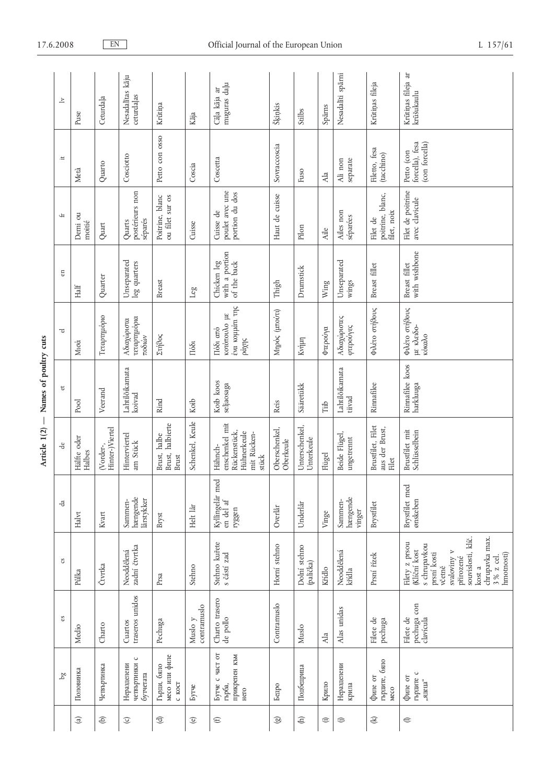| $\geq$                 | Puse                          | Ceturdaļa                    | Nesadalītas kāju<br>ceturdaļas            | Krūtiņa                                   | Kāja                   | muguras daļu<br>Cāļa kāja ar                                                     | Šķiņkis                    | Stilbs                       | Spārns      | Nesadalīti spārni             | Krūtiņas fileja                              | Krūtiņas fileja ar<br>krūšukaulu                                                                                                                                                        |
|------------------------|-------------------------------|------------------------------|-------------------------------------------|-------------------------------------------|------------------------|----------------------------------------------------------------------------------|----------------------------|------------------------------|-------------|-------------------------------|----------------------------------------------|-----------------------------------------------------------------------------------------------------------------------------------------------------------------------------------------|
| $\ddot{}$              | Metà                          | Quarto                       | Cosciotto                                 | Petto con osso                            | Coscia                 | Coscetta                                                                         | Sovraccoscia               | Fuso                         |             | separate<br>Ali non           | Filetto, fesa<br>(tacchino)                  | forcella), fesa<br>(con forcella)<br>Petto (con                                                                                                                                         |
| Ŧ                      | Demi ou<br>moitié             | Quart                        | postérieurs non<br>séparés<br>Quarts      | Poitrine, blanc<br>ou filet sur os        | Cuisse                 | poulet avec une<br>portion du dos<br>Cuisse de                                   | Haut de cuisse             | Pilon                        | Ala<br>Aile | Ailes non<br>séparées         | poitrine, blanc,<br>filet, noix<br>Filet de  | Filet de poitrine<br>avec clavicule                                                                                                                                                     |
| $\mathop{\mathbb{E}}$  | Half                          | Quarter                      | Unseparated<br>leg quarters               | <b>Breast</b>                             | <b>GST</b>             | with a portion<br>Chicken leg<br>of the back                                     | Thigh                      | Drumstick                    | Wing        | Unseparated<br>wings          | Breast fillet                                | with wishbone<br>Breast fillet                                                                                                                                                          |
| ಕ                      | Miod                          | Τεταρτημόριο                 | τεταρτημόρια<br>Αδιαχώριστα<br>ποδιών     | Στήθος                                    | Побі                   | ένα κομμάτι της<br>κοτόπουλο με<br>Πόδι από<br><b><i>pá</i>χης</b>               | Μηρός (μπούτι)             | Kvήμη                        | Φτερούγα    | Αδιαχώριστες<br>φτερούγες     | Φιλέτο στήθους                               | Φιλέτο στήθους<br>με κλειδο-<br>κόκαλο                                                                                                                                                  |
| ď                      | Pool                          | Veerand                      | Lahtilõikamata<br>koivad                  | Rind                                      | Koib                   | Koib koos<br>seljaosaga                                                          | Reis                       | Sääretükk                    | Tiib        | Lahtilõikamata<br>tiivad      | Rinnafilee                                   | Rinnafilee koos<br>harkluuga                                                                                                                                                            |
| ಕೆ                     | Hälfte oder<br>Halbes         | Hinter-)Viertel<br>(Vorder-, | Hinterviertel<br>am Stück                 | Brust, halbierte<br>Brust, halbe<br>Brust | Schenkel, Keule        | enschenkel mit<br>Rückenstück,<br>Hühnerkeule<br>mit Rücken-<br>Hähnch-<br>stück | Oberschenkel,<br>Oberkeule | Unterschenkel,<br>Unterkeule | Flügel      | Beide Flügel,<br>ungetrennt   | Brustfilet, Filet<br>aus der Brust,<br>Filet | Brustfilet mit<br>Schlüsselbein                                                                                                                                                         |
| da                     | Halvt                         | Kvart                        | hængende<br>lårstykker<br>Sammen-         | Bryst                                     | Helt lår               | Kyllingelår med<br>$en$ del af<br>ryggen                                         | Overlår                    | Underlår                     | Vinge       | hængende<br>Sammen-<br>vinger | Brystfilet                                   | Brystfilet med<br>ønskeben                                                                                                                                                              |
| $\mathbf{c}\mathbf{s}$ | Půlka                         | Čtvrtka                      | zadní čtvrtka<br>Neoddělená               | Prsa                                      | Stehno                 | Stehno kuřete<br>s částí zad                                                     | Horní stehno               | Dolní stehno<br>(palička)    | Křídlo      | Neoddělená<br>křídla          | Prsní řízek                                  | souvislosti, klíč.<br>chrupavka max.<br>Filety z prsou<br>s chrupavkou<br><b>Klíční</b> kost<br>svaloviny v<br>prsní kosti<br>hmotnosti)<br>3 % z cel.<br>přirozené<br>včetně<br>kost a |
| $\infty$               | Medio                         | Charto                       | traseros unidos<br>Cuartos                | Pechuga                                   | contramuslo<br>Muslo y | Charto trasero<br>de pollo                                                       | Contramuslo                | Muslo                        | Ala         | Alas unidas                   | Filete de<br>pechuga                         | pechuga con<br>clavícula<br>Filete de                                                                                                                                                   |
| g <sub>d</sub>         | Половинка                     | Четвъртинка                  | четвъртинки с<br>Неразделени<br>бутчетата | месо или филе<br>Гърди, бяло<br>C KOCT    | Бутче                  | Бутче с част от<br>прикрепен към<br>гърба,<br>Hero                               | Бедро                      | Подбедрица                   | Крило       | Неразделени<br>крила          | гърдите, бяло<br>филе от<br>Meco             | търдите с<br>филе от<br>"ядеца"                                                                                                                                                         |
|                        | $\textcircled{\scriptsize a}$ | $\Theta$                     | $\odot$                                   | $\bigoplus$                               | $\circledcirc$         | $\oplus$                                                                         | $\circledS$                | $\oplus$                     | $\oplus$    | ⊜                             | $\bigcircled{\!\!\!x}$                       | $\ominus$                                                                                                                                                                               |

## Official Journal of the European Union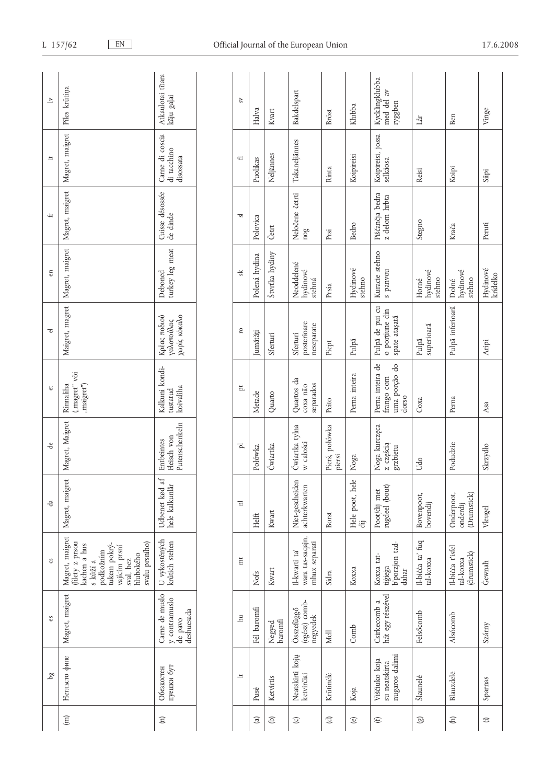| $\geq$         | Piles krūtiņa                                                                                                                                            | Atkaulotai tītara<br>kāju gaļai                                                                                                | $S_{V}$      | Halva                         | Kvart             | Bakdelspart                                        | Bröst                    | Klubba               | Kycklingklubba<br>med del av<br>ryggben                  | Lår                           | Ben                                          |  |
|----------------|----------------------------------------------------------------------------------------------------------------------------------------------------------|--------------------------------------------------------------------------------------------------------------------------------|--------------|-------------------------------|-------------------|----------------------------------------------------|--------------------------|----------------------|----------------------------------------------------------|-------------------------------|----------------------------------------------|--|
| $\ddot{=}$     | Magret, maigret                                                                                                                                          | Carne di coscia<br>di tacchino<br>disossata                                                                                    | £            | Puolikas                      | Neljännes         | Takaneljännes                                      | Rinta                    | Koipireisi           | Koipireisi, jossa<br>selkäosa                            | Reisi                         | Koipi                                        |  |
| £              | Magret, maigret                                                                                                                                          | Cuisse désossée<br>de dinde                                                                                                    | 51           | Polovica                      | Četrt             | Neločene četrti<br>nog                             | Prsi                     | Bedro                | Piščančja bedra<br>z delom hrbta                         | Stegno                        | Krača                                        |  |
| en             | Magret, maigret                                                                                                                                          | turkey leg meat<br>Deboned                                                                                                     | ςķ           | Polená hydina                 | Štvrťka hydiny    | Neoddelené<br>hydinové<br>stehná                   | Prsia                    | Hydinové<br>stehno   | Kuracie stehno<br>s panvou                               | hydinové<br>stehno<br>Horné   | hydinové<br>stehno<br>Dolné                  |  |
| ರ              | Maigret, magret                                                                                                                                          | χωρίς κόκαλο<br>Κρέας ποδιού<br>γαλοπούλας                                                                                     | 5            | Jumătăți                      | Sferturi          | posterioare<br>neseparate<br>Sferturi              | Piept                    | Pulpă                | Pulpă de pui cu<br>o porțiune din<br>spate atașată       | superioară<br>Pulpă           | Pulpă inferioară                             |  |
| đ              | "magret" või<br>Rinnaliha<br>"maigret")                                                                                                                  | Kalkuni kondi-<br>koivaliha<br>$\ensuremath{\mathsf{t}\mathsf{u}\mathsf{s}\mathsf{t}\mathsf{a}\mathsf{t}\mathsf{u}\mathsf{d}}$ | ħ,           | Metade                        | Quarto            | Quartos da<br>separados<br>coxa não                | Peito                    | Perna inteira        | Perna inteira de<br>uma porção do<br>frango com<br>dorso | Соха                          | Perna                                        |  |
| de             | Magret, Maigret                                                                                                                                          | Putenschenkeln<br>Fleisch von<br>Entbeintes                                                                                    | Ā            | Połówka                       | Ćwiartka          | Ćwiartka tylna<br>w całości                        | Pierś, połówka<br>piersi | Noga                 | Noga kurczęca<br>z częścią<br>grzbietu                   | Udo                           | Podudzie                                     |  |
| ď              | Magret, maigret                                                                                                                                          | Udbenet kød af<br>hele kalkunlår                                                                                               | Ξ            | Helft                         | Kwart             | Niet-gescheiden<br>achterkwarten                   | Borst                    | Hele poot, hele<br>司 | rugdeel (bout)<br>Poot/dij met                           | Bovenpoot,<br>bovendij        | (Drumstick)<br>Onderpoot,<br>onderdij        |  |
| °S             | Magret, maigret<br>(filety z prsou<br>svalu prsního)<br>kachen a hus<br>tukem pokrý-<br>vajícím prsní<br>podkožním<br>hlubokého<br>sval, bez<br>s kůží a | U vykostěných<br>krůtích stehen                                                                                                | mt           | Nofs                          | Kwart             | wara tas-saqajn,<br>mhux separati<br>Il-kwarti ta' | Sidra                    | Кохха                | tigiega<br>b'porzjon tad-<br>Koxxa tat-<br>dahar         | Il-bicca ta' fuq<br>tal-koxxa | Il-bicca t'isfel<br>(drumstick)<br>tal-koxxa |  |
| es             | Magret, maigret                                                                                                                                          | Carne de muslo<br>y contramuslo<br>deshuesada<br>de pavo                                                                       | $\mathbb{H}$ | Fél baromfi                   | Negyed<br>baromfi | (egész) comb-<br>Összefüggő<br>negyedek            | Mell                     | Comb                 | hát egy részével<br>Csirkecomb a                         | Felsőcomb                     | <b>Alsócomb</b>                              |  |
| g <sub>d</sub> | Нетльсто филе                                                                                                                                            | пуешки бут<br>Обезкостен                                                                                                       | $\pm$        | Pusė                          | Ketvirtis         | Neatskirti kojų<br>ketvirčiai                      | Krūtinėlė                | Koja                 | nugaros dalimi<br>Viščiuko koja<br>su neatskirta         | Šlaunelė                      | Blauzdelė                                    |  |
|                | $\widehat{\Xi}$                                                                                                                                          | $\widehat{\Xi}$                                                                                                                |              | $\textcircled{\scriptsize a}$ | $\oplus$          | $\odot$                                            | $\bigoplus$              | $\copyright$         | $\oplus$                                                 | $\circledS$                   | $\oplus$                                     |  |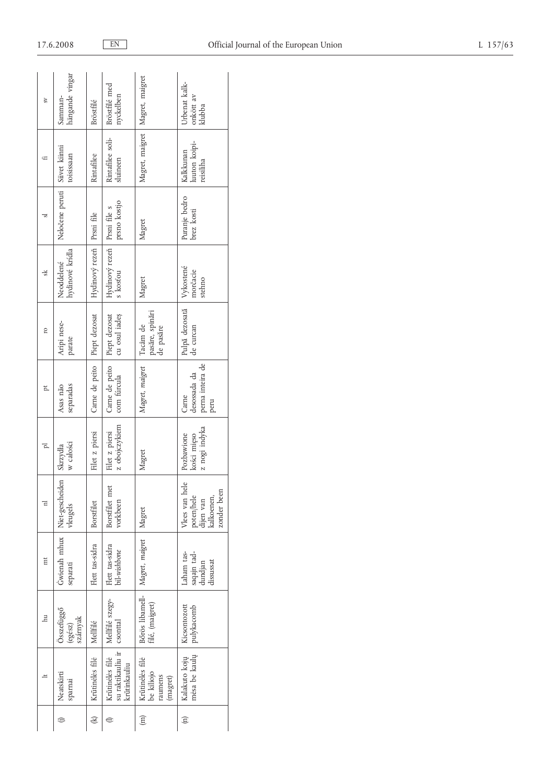| SV    | hängande vingar<br>Samman-                     | Bröstfilé                   | Bröstfilé med<br>nyckelben<br>Rintafilee soli-                  | Magret, maigret<br>Magret, maigret                   | Urbenat kalk-<br>onkött av<br>klubba<br>luuton koipi-                      |
|-------|------------------------------------------------|-----------------------------|-----------------------------------------------------------------|------------------------------------------------------|----------------------------------------------------------------------------|
| 5     | Siivet kiinni<br>toisissaan<br>Neločene peruti | Rintafilee                  | sluineen<br>prsno kostjo                                        |                                                      | Kalkkunan<br>reisiliha<br>Puranje bedro                                    |
|       |                                                |                             |                                                                 | Magret                                               | brez kosti                                                                 |
| sk.   | hydinové krídla<br>Neoddelené                  | Hydinový rezeň   Prsní file | Hydinový rezeň Prsní file s<br>s kosťou                         | Magret                                               | Vykostené<br>morčacie<br>stehno                                            |
| 5     | Aripi nese-<br>parate                          | Piept dezosat               | Piept dezosat<br>cu osul iadeș                                  | pasăre, spinări<br>Tacâm de<br>de pasăre             | Pulpă dezosată<br>de curcan                                                |
| p     | separadas<br>Asas não                          | Carne de peito              | Carne de peito<br>com fúrcula                                   | Magret, maigret                                      | perna inteira de<br>desossada da<br>Carne<br>peru                          |
| ī     | w całości<br>Skrzydła                          | Filet z piersi              | z obojczykiem<br>Filet z piersi                                 | Magret                                               | z nogi indyka<br>Pozbawione<br>kości mięso                                 |
| 급     | vleugels                                       | Borstfilet                  | Borstfilet met<br>vorkbeen                                      | Magret                                               | ە<br>Vlees van hel<br>zonder been<br>kalkoenen,<br>poten/hele<br>dijen van |
| Ħ     | Gwienah mhux   Niet-gescheiden<br>separati     | Flett tas-sidra             | Flett tas-sidra<br>  bil-wishbone                               | Magret, maigret                                      | Laham tas-<br>saqajn tad-<br>dundjan<br>dissussat                          |
| $\Xi$ | Összefüggő<br>szárnyak<br>(egész)              | Mellfilé                    | Mellfilé szegy-                                                 | Bőrös libamell-<br>filé, (maigret)                   | Kicsontozott<br>pulykacomb                                                 |
|       | Neatskirti<br>sparnai                          | Krūtinėlės filė             | su raktikauliu ir   csonttal<br>Krūtinėlės filė<br>krūtinkauliu | Krūtinėlės filė<br>be kiliojo<br>raumens<br>(magret) | mėsa be kaulų<br>Kalakuto kojų                                             |
|       | ⊜                                              | $\circledast$               |                                                                 | $\widehat{E}$                                        | $\widehat{\Xi}$                                                            |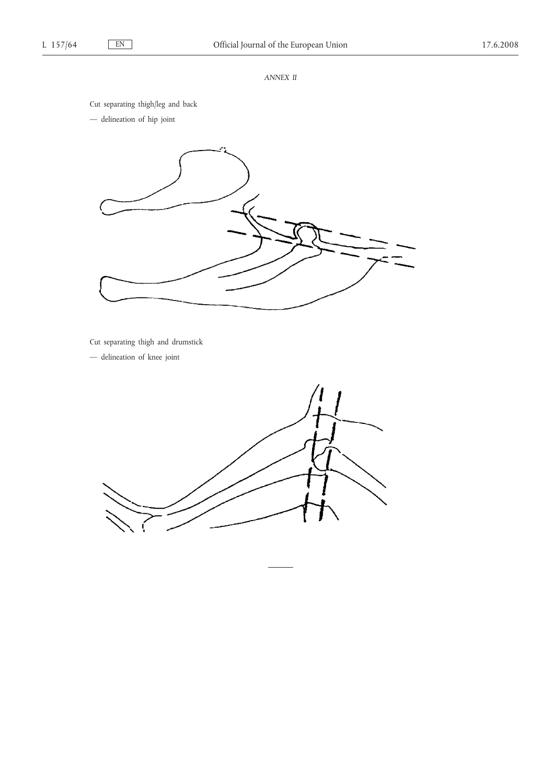## *ANNEX II*

Cut separating thigh/leg and back

— delineation of hip joint



Cut separating thigh and drumstick

— delineation of knee joint

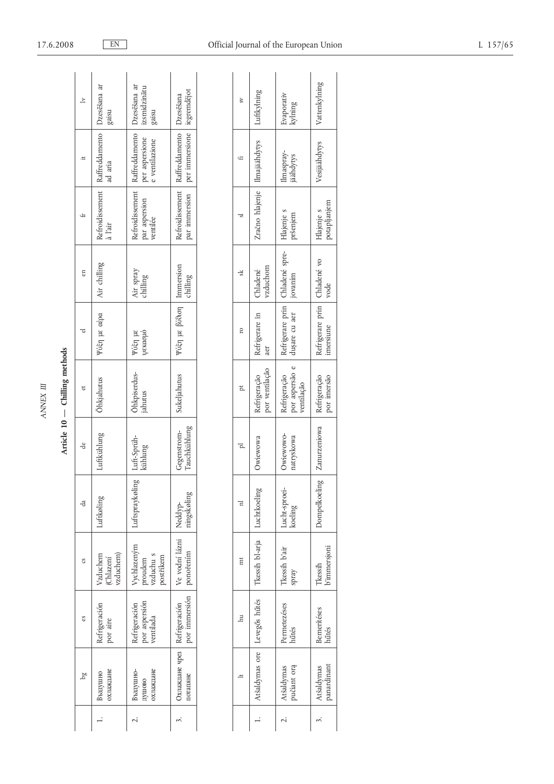| F      |
|--------|
| Ĕ<br>ť |

Article 10 - Chilling methods

|    | gaisu                                                      | izsmidzinātu<br>gaisu                                                               |                                                                                      |
|----|------------------------------------------------------------|-------------------------------------------------------------------------------------|--------------------------------------------------------------------------------------|
|    | Refroidissement   Raffreddamento   Dzesēšana ar<br>ad aria | Refroidissement   Raffreddamento   Dzesēšana ar<br>per aspersione<br>e ventilazione | par immersion per immersione iegremdejot<br>Refroidissement Raffreddamento Dzesēšana |
|    | à l'air                                                    | par aspersion<br>ventilée                                                           |                                                                                      |
|    | Air chilling                                               | Air spray<br>chilling                                                               | chilling                                                                             |
|    | Ρύξη με αέρα                                               | Ψύξη με<br>ψεκασμό                                                                  | Ψύξη με βύθιση   Immersion                                                           |
|    | <b>Ohkjahutus</b>                                          | Ohkpiserdus-<br>jahutus                                                             | Sukeljahutus                                                                         |
| de | Luftkühlung                                                | Luft-Sprüh-<br>kühlung                                                              | Gegenstrom-<br>Tauchkühlung                                                          |
| da | Luftkøling                                                 | Luftspraykøling                                                                     | ingskøling<br>Neddyp-                                                                |
|    | (Chlazení<br>vzduchem)<br>Vzduchem                         | Vychlazeným<br>proudem<br>vzduchu s<br>postřikem                                    | Ve vodní lázni<br>ponořením                                                          |
|    | Refrigeración<br>por aire                                  | Refrigeración<br>por aspersión<br>ventilada                                         | por immersión                                                                        |
|    | хлаждане<br>Въздушно                                       | хлаждане<br>въздушно-<br>душово                                                     | Охлаждане чрез   Refrigeración<br>отапяне                                            |
|    |                                                            |                                                                                     |                                                                                      |

|    |                                                                 | Evaporativ<br>kylning                                         |                                             |
|----|-----------------------------------------------------------------|---------------------------------------------------------------|---------------------------------------------|
|    | Zračno hlajenje   Ilmajäähdytys   Luftkylning                   | Ilmaspray-<br>jäähdytys                                       | Vesijäähdytys Vattenkylning                 |
|    |                                                                 | Hlajenje s<br>pršenjem                                        | potapljanjem<br>Hlajenje s                  |
| sk | vzduchom<br>Chladené                                            | 1 jovaním                                                     | vode                                        |
|    | Refrigerare în<br>aer                                           | Refrigeração Refrigerare prin Chladené spre-<br>dușare cu aer | Refrigerare prin   Chladené vo<br>imersiune |
|    | Refrigeração<br>por ventilação                                  | por aspersão e 1<br>ventilação                                | Refrigeração<br>por imersão                 |
|    | Owiewowa                                                        | Owiewowo-<br>natryskowa                                       | Dompelkoeling   Zanurzeniowa                |
|    |                                                                 | Lucht-sproei-<br>koeling                                      |                                             |
|    |                                                                 | Tkessih b'air<br>spray                                        | <i>immersjoni</i><br>Tkessih                |
|    |                                                                 | Permetezéses<br>hűtés                                         | <b>Bemeritéses</b><br>hűtés                 |
|    | Atšaldymas ore   Levegős hűtés   Tkessih bl-arja   Luchtkoeling | pučiant orą<br>Atšaldymas                                     | panardinant<br>Atšaldymas                   |
|    |                                                                 |                                                               |                                             |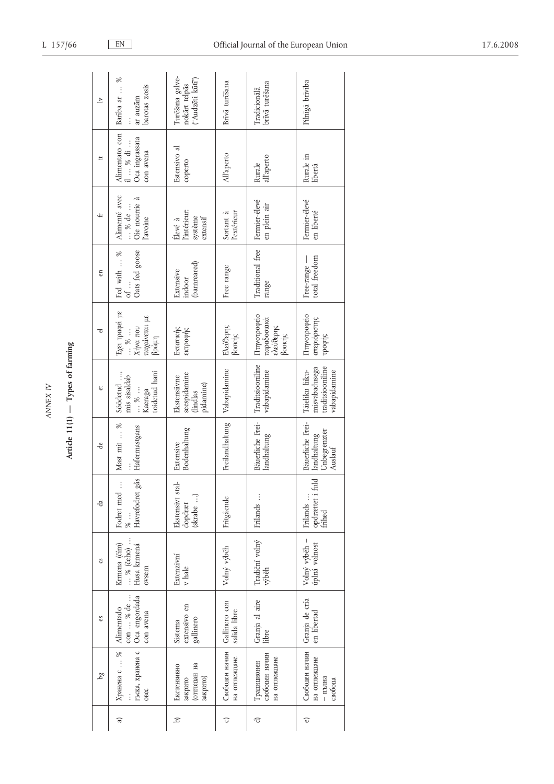| ₹      |
|--------|
| P<br>L |
|        |
|        |

Article  $11(1)$  - Types of farming

|     | 9q                                                   | S                                                                        | $\mathfrak{c}\mathfrak{s}$                                                                                                                        | da                                             | de                                                         | ಕ                                                                             | ರ                                                                                                   | en                                           | ₩                                                  | $\ddot{=}$                                                | $\geq$                                               |
|-----|------------------------------------------------------|--------------------------------------------------------------------------|---------------------------------------------------------------------------------------------------------------------------------------------------|------------------------------------------------|------------------------------------------------------------|-------------------------------------------------------------------------------|-----------------------------------------------------------------------------------------------------|----------------------------------------------|----------------------------------------------------|-----------------------------------------------------------|------------------------------------------------------|
| त्व | Хранена с  %<br>OBEC                                 | гъска, хранена с   Oca engordada<br>con  % de<br>Alimentado<br>con avena | $\begin{array}{c} \ldots \mathbin{{\scriptstyle{\%}}}(\check{c}\check{e}ho) \; \ldots \\ \text{Husa krmená} \end{array}$<br>Krmena (čím)<br>ovsem | Havrefodret gås<br>Fodret med<br>$\frac{1}{8}$ | Mast mit $\ldots\,$ %<br>Hafermastgans                     | toidetud hani<br>Söödetud ,<br>mis sisaldab<br>$\cdots$ % $\cdots$<br>Kaeraga | Έχει τραφεί με<br>παχαίνεται με<br>Χήνα που<br>$\cdots \stackrel{\%}{\circ} \cdots$<br>$\beta$ ρώμη | Oats fed goose<br>Fed with  %<br>of $\ldots$ | Alimenté avec<br>Oie nourrie à<br>% de<br>l'avoine | Alimentato con<br>Oca ingrassata<br>il  % di<br>con avena | Bariba ar  %<br>barotas zosis<br>ar auzām            |
| ه   | отгледан на<br>Екстензивно<br>закрито)<br>закрито    | extensivo en<br>gallinero<br>Sistema                                     | Extenzivní<br>v hale                                                                                                                              | Ekstensivt stal-<br>(skrabe )<br>dopdræt       | Bodenhaltung<br>Extensive                                  | seespidamine<br>Ekstensiivne<br>pidamine)<br>dindlas                          | Εκτατικής<br>εκτροφής                                                                               | (barnreared)<br>Extensive<br>indoor          | l'intérieur:<br>système<br>extensif<br>Élevé à     | Estensivo al<br>coperto                                   | Turēšana galve-<br>("Audzēti kūtī")<br>nokārt telpās |
| ○   | Свободен начин<br>на отпеждане                       | Gallinero con<br>salida libre                                            | Volný výběh                                                                                                                                       | Fritgående                                     | Freilandhaltung Vabapidamine                               |                                                                               | Elevbepnç<br>βοσκής                                                                                 | Free range                                   | l'extérieur<br>Sortant à                           | All'aperto                                                | Brīvā turēšana                                       |
| €   | свободен начин<br>на отпеждане<br>Традиционен        | Granja al aire<br>libre                                                  | Tradiční volný<br>výběh                                                                                                                           | Frilands                                       | Bäuerliche Frei-<br>landhaltung                            | Traditsiooniline<br>vabapidamine                                              | Πτηνοτροφείο<br>παραδοσιακά<br>ελεύθερης<br>βοσκής                                                  | Traditional free<br>range                    | Fermier-élevé<br>en plein air                      | all'aperto<br>Rurale                                      | brīvā turēšana<br>Tradicionala                       |
| ම   | Свободен начин<br>на отпеждане<br>- пълна<br>свобода | Granja de cría<br>en libertad                                            | Volný výběh -<br>úplná volnost                                                                                                                    | opdrættet i fuld<br>frihed<br>Frilands         | Bäuerliche Frei-<br>Unbegrenzter<br>landhaltung<br>Auslauf | misvabadusega<br>traditsiooniline<br>Täieliku liiku-<br>vabapidamine          | Πτηνοτροφείο<br>απεριόριστης<br>τροφής                                                              | total freedom<br>Free-range -                | Fermier-élevé<br>en liberté                        | Rurale in<br>libertà                                      | Pilnīgā brīvība                                      |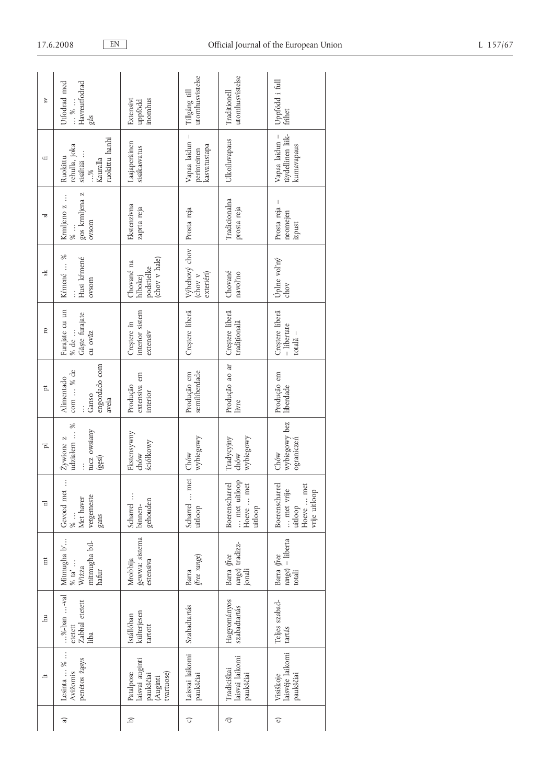| $\mathcal{S}^{\mathcal{V}}$ | <b>Jtfodrad</b> med<br>Havreutfodrad<br>$\cdots$ % $\cdots$<br>sås                  | Extensivt<br>inomhus<br>uppfödd                                     | utomhusvistelse<br>Tillgång till              | utomhusvistelse<br>Traditionell                        | Uppfödd i full<br>frihet                                              |
|-----------------------------|-------------------------------------------------------------------------------------|---------------------------------------------------------------------|-----------------------------------------------|--------------------------------------------------------|-----------------------------------------------------------------------|
| Ĥ                           | ruokittu hanhi<br>rehulla, joka<br>sisältää $\ldots$ , $\%$<br>Ruokittu<br>Kauralla | Laajaperäinen<br>sisäkasvatus                                       | Vapaa laidun -<br>kasvatustapa<br>perinteinen | Ulkoiluvapaus                                          | täydellinen liik-<br>Vapaa laidun -<br>kumavapaus                     |
| ್ರ                          | gos krmljena z<br>Krmljeno z<br>ovsom<br>$\%$ .                                     | Ekstenzivna<br>zaprta reja                                          | Prosta reja                                   | Tradicionalna<br>prosta reja                           | Prosta reja<br>neomejen<br>izpust                                     |
| s                           | Kŕmené  %<br>Husi kŕmené<br>ovsom                                                   | (chov v hale)<br>Chované na<br>podstielke<br>hlbokej                | Výbehový chov<br>exteriéri)<br>Chov v         | Chované<br>navol'no                                    | Úplne voľný<br>chov                                                   |
| 5                           | Furajate cu un<br>Gâște furajate<br>cu ovăz<br>% de                                 | interior sistem<br>Creștere în<br>extensiv                          | Creștere liberă                               | Creștere liberă<br>traditională                        | Creștere liberă<br>$-$ libertate<br>totală –                          |
| ħ,                          | engordado com<br>com  % de<br>Alimentado<br>Ganso<br>aveia                          | extensiva em<br>Produção<br>interior                                | semiliberdade<br>Produção em                  | Produção ao ar<br>livre                                | Produção em<br>liberdade                                              |
| 고                           | ℅<br>tucz owsiany<br>udziałem<br>Zywione z<br>(gesi)                                | Ekstensywny<br>ściółkowy<br>chów                                    | wybiegowy<br>Chów                             | wybiegowy<br>Tradycyjny<br>chów                        | wybiegowy bez<br>ograniczeń<br>Chów                                   |
| 급                           | Gevoed met<br>vetgemeste<br>Met haver<br>gans                                       | Scharrel<br>gehouden<br>binnen-                                     | Scharrel  met<br>uitloop                      | Boerenscharrel<br>met uitloop<br>Hoeve  met<br>uitloop | Boerenscharrel<br>Hoeve  met<br>met vrije<br>vrije uitloop<br>uitloop |
| $\overline{m}$              | Mitmugha b'<br>mitmugha bil-<br>$\%$ ta' $\ldots$<br>Wiżża<br>hafur                 | gewwa: sistema<br>Mrobbija<br>estensiva                             | free range)<br>Barra                          | range) tradizz-<br>Barra (free<br>jonali               | $range)$ – liberta<br>Barra (free<br>totali                           |
| $\overline{\mathbb{H}}$     | $$ %-ban $$ val<br>Zabbal etetett<br>etetett<br>liba                                | külterjesen<br>Istállóban<br>tartott                                | Szabadtartás                                  | Hagyományos<br>szabadtartás                            | Teljes szabad-<br>tartás                                              |
| $\pm$                       | Lesinta  %<br>penetos žąsys<br>Avižomis                                             | laisvai auginti<br>Patalpose<br>tvartuose)<br>paukščiai<br>(Auginti | Laisvai laikomi<br>paukščiai                  | laisvai laikomi<br>Tradiciškai<br>paukščiai            | laisvėje laikomi<br>Visiškoje<br>paukščiai                            |
|                             | त्व                                                                                 | a                                                                   | ⊙                                             | বি                                                     | จ                                                                     |

17.6.2008

 $EN$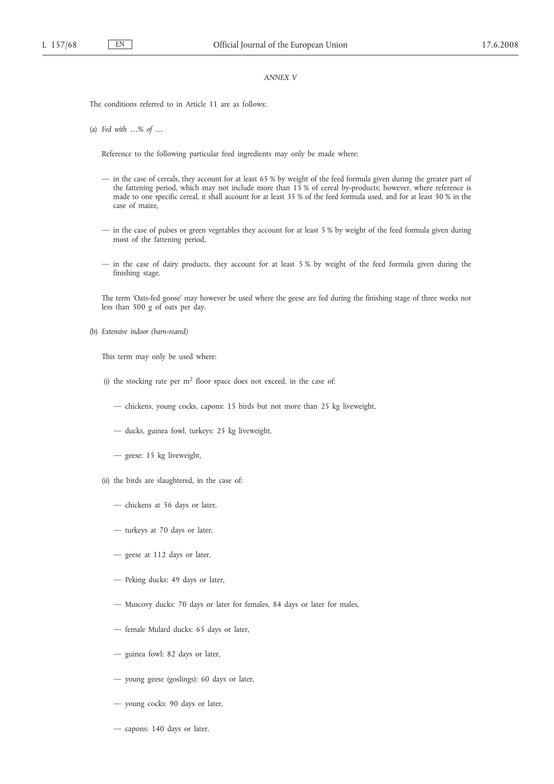## *ANNEX V*

The conditions referred to in Article 11 are as follows:

(a) *Fed with …% of …*

Reference to the following particular feed ingredients may only be made where:

- in the case of cereals, they account for at least 65 % by weight of the feed formula given during the greater part of the fattening period, which may not include more than 15 % of cereal by-products; however, where reference is made to one specific cereal, it shall account for at least 35 % of the feed formula used, and for at least 50 % in the case of maize,
- in the case of pulses or green vegetables they account for at least 5 % by weight of the feed formula given during most of the fattening period,
- in the case of dairy products, they account for at least 5 % by weight of the feed formula given during the finishing stage.

The term 'Oats-fed goose' may however be used where the geese are fed during the finishing stage of three weeks not less than 500 g of oats per day.

(b) *Extensive indoor (barn-reared)*

This term may only be used where:

- (i) the stocking rate per  $m<sup>2</sup>$  floor space does not exceed, in the case of:
	- chickens, young cocks, capons: 15 birds but not more than 25 kg liveweight,
	- ducks, guinea fowl, turkeys: 25 kg liveweight,
	- geese: 15 kg liveweight,
- (ii) the birds are slaughtered, in the case of:
	- chickens at 56 days or later,
	- turkeys at 70 days or later,
	- geese at 112 days or later,
	- Peking ducks: 49 days or later,
	- Muscovy ducks: 70 days or later for females, 84 days or later for males,
	- female Mulard ducks: 65 days or later,
	- guinea fowl: 82 days or later,
	- young geese (goslings): 60 days or later,
	- young cocks: 90 days or later,
	- capons: 140 days or later.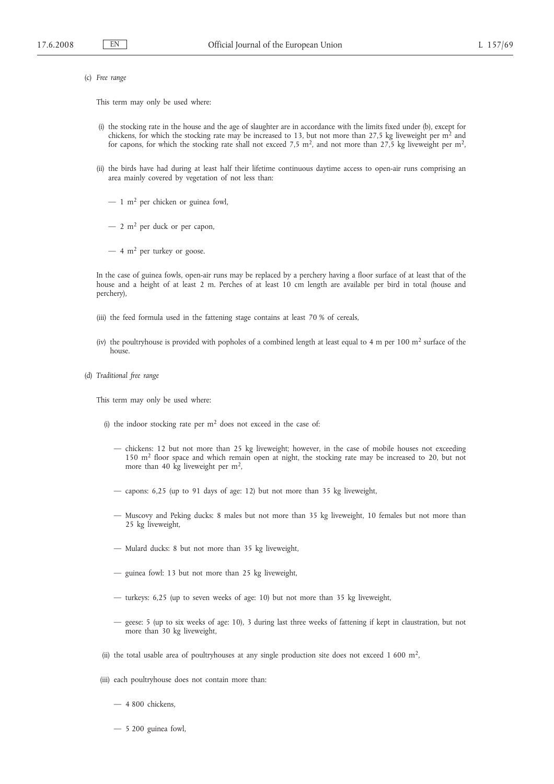(c) *Free range*

This term may only be used where:

- (i) the stocking rate in the house and the age of slaughter are in accordance with the limits fixed under (b), except for chickens, for which the stocking rate may be increased to 13, but not more than 27,5 kg liveweight per  $m<sup>2</sup>$  and for capons, for which the stocking rate shall not exceed 7,5 m<sup>2</sup>, and not more than 27,5 kg liveweight per m<sup>2</sup>,
- (ii) the birds have had during at least half their lifetime continuous daytime access to open-air runs comprising an area mainly covered by vegetation of not less than:
	- $-1$  m<sup>2</sup> per chicken or guinea fowl,
	- $-2$  m<sup>2</sup> per duck or per capon,
	- $-4$  m<sup>2</sup> per turkey or goose.

In the case of guinea fowls, open-air runs may be replaced by a perchery having a floor surface of at least that of the house and a height of at least 2 m. Perches of at least 10 cm length are available per bird in total (house and perchery),

- (iii) the feed formula used in the fattening stage contains at least 70 % of cereals,
- (iv) the poultryhouse is provided with popholes of a combined length at least equal to 4 m per  $100 \text{ m}^2$  surface of the house.
- (d) *Traditional free range*

This term may only be used where:

- (i) the indoor stocking rate per  $m<sup>2</sup>$  does not exceed in the case of:
	- chickens: 12 but not more than 25 kg liveweight; however, in the case of mobile houses not exceeding 150 m2 floor space and which remain open at night, the stocking rate may be increased to 20, but not more than 40 kg liveweight per  $m<sup>2</sup>$ ,
	- capons: 6,25 (up to 91 days of age: 12) but not more than 35 kg liveweight,
	- Muscovy and Peking ducks: 8 males but not more than 35 kg liveweight, 10 females but not more than 25 kg liveweight,
	- Mulard ducks: 8 but not more than 35 kg liveweight,
	- guinea fowl: 13 but not more than 25 kg liveweight,
	- turkeys: 6,25 (up to seven weeks of age: 10) but not more than 35 kg liveweight,
	- geese: 5 (up to six weeks of age: 10), 3 during last three weeks of fattening if kept in claustration, but not more than 30 kg liveweight,
- (ii) the total usable area of poultryhouses at any single production site does not exceed  $1\,600\,$  m<sup>2</sup>,
- (iii) each poultryhouse does not contain more than:
	- 4 800 chickens,
	- 5 200 guinea fowl,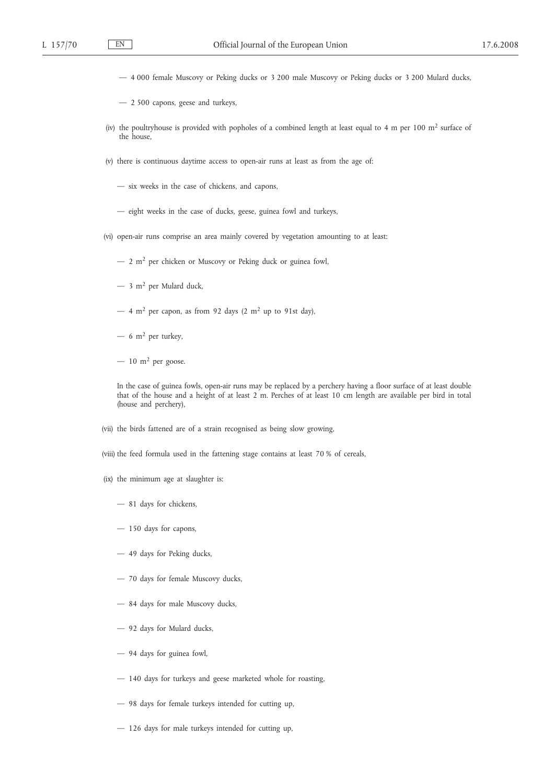- 4 000 female Muscovy or Peking ducks or 3 200 male Muscovy or Peking ducks or 3 200 Mulard ducks,
- 2 500 capons, geese and turkeys,
- (iv) the poultryhouse is provided with popholes of a combined length at least equal to 4 m per 100 m2 surface of the house,
- (v) there is continuous daytime access to open-air runs at least as from the age of:
	- six weeks in the case of chickens, and capons,
	- eight weeks in the case of ducks, geese, guinea fowl and turkeys,
- (vi) open-air runs comprise an area mainly covered by vegetation amounting to at least:
	- $-2$  m<sup>2</sup> per chicken or Muscovy or Peking duck or guinea fowl,
	- $-$  3 m<sup>2</sup> per Mulard duck,
	- $-4$  m<sup>2</sup> per capon, as from 92 days (2 m<sup>2</sup> up to 91st day),
	- $-6$  m<sup>2</sup> per turkey,
	- $-10$  m<sup>2</sup> per goose.

In the case of guinea fowls, open-air runs may be replaced by a perchery having a floor surface of at least double that of the house and a height of at least 2 m. Perches of at least 10 cm length are available per bird in total (house and perchery),

- (vii) the birds fattened are of a strain recognised as being slow growing,
- (viii) the feed formula used in the fattening stage contains at least 70 % of cereals,
- (ix) the minimum age at slaughter is:
	- 81 days for chickens,
	- 150 days for capons,
	- 49 days for Peking ducks,
	- 70 days for female Muscovy ducks,
	- 84 days for male Muscovy ducks,
	- 92 days for Mulard ducks,
	- 94 days for guinea fowl,
	- 140 days for turkeys and geese marketed whole for roasting,
	- 98 days for female turkeys intended for cutting up,
	- 126 days for male turkeys intended for cutting up,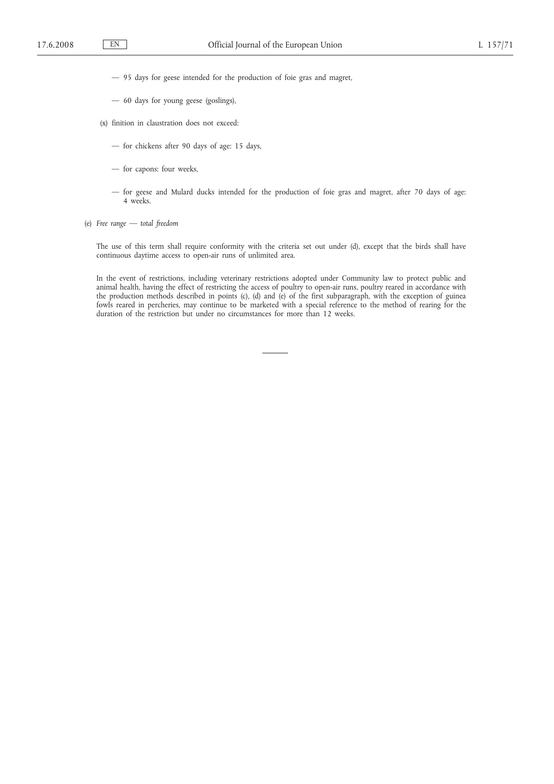- 95 days for geese intended for the production of foie gras and magret,
- 60 days for young geese (goslings),
- (x) finition in claustration does not exceed:
	- for chickens after 90 days of age: 15 days,
	- for capons: four weeks,
	- for geese and Mulard ducks intended for the production of foie gras and magret, after 70 days of age: 4 weeks.
- (e) *Free range — total freedom*

The use of this term shall require conformity with the criteria set out under (d), except that the birds shall have continuous daytime access to open-air runs of unlimited area.

In the event of restrictions, including veterinary restrictions adopted under Community law to protect public and animal health, having the effect of restricting the access of poultry to open-air runs, poultry reared in accordance with the production methods described in points (c), (d) and (e) of the first subparagraph, with the exception of guinea fowls reared in percheries, may continue to be marketed with a special reference to the method of rearing for the duration of the restriction but under no circumstances for more than 12 weeks.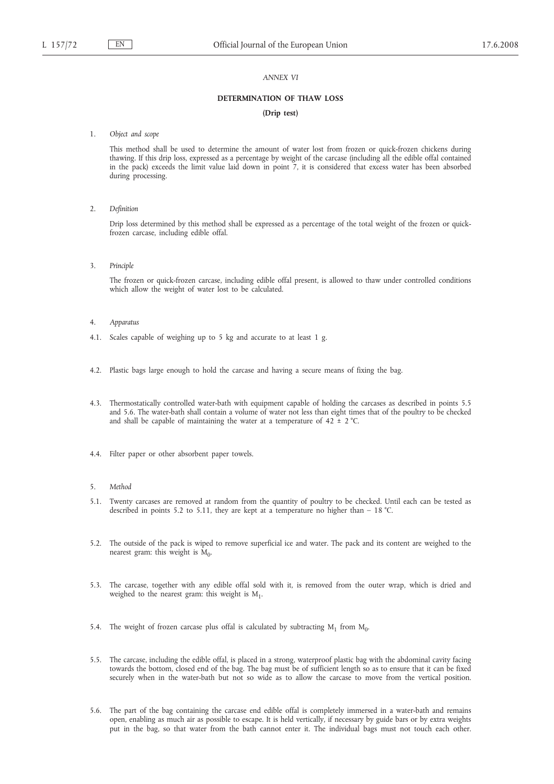#### *ANNEX VI*

#### **DETERMINATION OF THAW LOSS**

### **(Drip test)**

1. *Object and scope*

This method shall be used to determine the amount of water lost from frozen or quick-frozen chickens during thawing. If this drip loss, expressed as a percentage by weight of the carcase (including all the edible offal contained in the pack) exceeds the limit value laid down in point 7, it is considered that excess water has been absorbed during processing.

2. *Definition*

Drip loss determined by this method shall be expressed as a percentage of the total weight of the frozen or quickfrozen carcase, including edible offal.

3. *Principle*

The frozen or quick-frozen carcase, including edible offal present, is allowed to thaw under controlled conditions which allow the weight of water lost to be calculated.

- 4. *Apparatus*
- 4.1. Scales capable of weighing up to 5 kg and accurate to at least 1 g.
- 4.2. Plastic bags large enough to hold the carcase and having a secure means of fixing the bag.
- 4.3. Thermostatically controlled water-bath with equipment capable of holding the carcases as described in points 5.5 and 5.6. The water-bath shall contain a volume of water not less than eight times that of the poultry to be checked and shall be capable of maintaining the water at a temperature of  $42 \pm 2$  °C.
- 4.4. Filter paper or other absorbent paper towels.
- 5. *Method*
- 5.1. Twenty carcases are removed at random from the quantity of poultry to be checked. Until each can be tested as described in points 5.2 to 5.11, they are kept at a temperature no higher than  $-18$  °C.
- 5.2. The outside of the pack is wiped to remove superficial ice and water. The pack and its content are weighed to the nearest gram: this weight is  $M_0$ .
- 5.3. The carcase, together with any edible offal sold with it, is removed from the outer wrap, which is dried and weighed to the nearest gram: this weight is  $M_1$ .
- 5.4. The weight of frozen carcase plus offal is calculated by subtracting  $M_1$  from  $M_0$ .
- 5.5. The carcase, including the edible offal, is placed in a strong, waterproof plastic bag with the abdominal cavity facing towards the bottom, closed end of the bag. The bag must be of sufficient length so as to ensure that it can be fixed securely when in the water-bath but not so wide as to allow the carcase to move from the vertical position.
- 5.6. The part of the bag containing the carcase end edible offal is completely immersed in a water-bath and remains open, enabling as much air as possible to escape. It is held vertically, if necessary by guide bars or by extra weights put in the bag, so that water from the bath cannot enter it. The individual bags must not touch each other.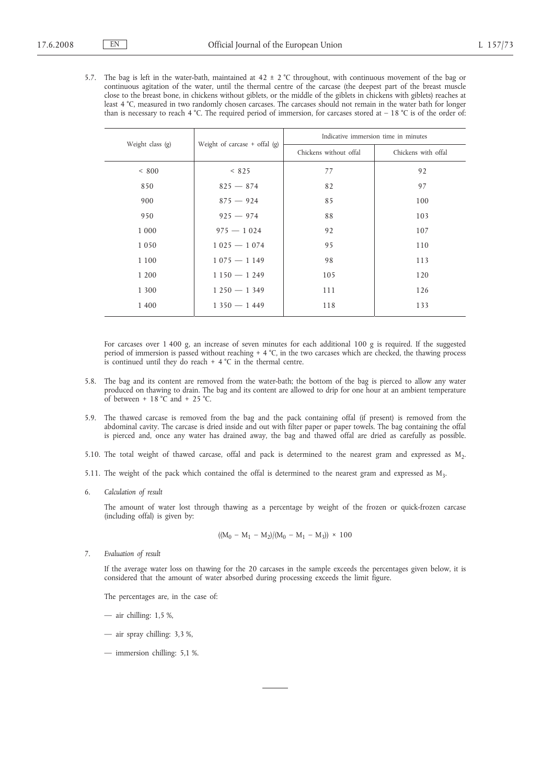5.7. The bag is left in the water-bath, maintained at  $42 \pm 2$  °C throughout, with continuous movement of the bag or continuous agitation of the water, until the thermal centre of the carcase (the deepest part of the breast muscle close to the breast bone, in chickens without giblets, or the middle of the giblets in chickens with giblets) reaches at least 4 °C, measured in two randomly chosen carcases. The carcases should not remain in the water bath for longer than is necessary to reach 4 °C. The required period of immersion, for carcases stored at  $-18$  °C is of the order of:

| Weight class (g) | Weight of carcase $+$ offal (g) | Indicative immersion time in minutes |                     |  |
|------------------|---------------------------------|--------------------------------------|---------------------|--|
|                  |                                 | Chickens without offal               | Chickens with offal |  |
| < 800            | < 825                           | 77                                   | 92                  |  |
| 850              | $825 - 874$                     | 82                                   | 97                  |  |
| 900              | $875 - 924$                     | 85                                   | 100                 |  |
| 950              | $925 - 974$                     | 88                                   | 103                 |  |
| 1 0 0 0          | $975 - 1024$                    | 92                                   | 107                 |  |
| 1050             | $1025 - 1074$                   | 95                                   | 110                 |  |
| 1 1 0 0          | $1075 - 1149$                   | 98                                   | 113                 |  |
| 1 200            | $1150 - 1249$                   | 105                                  | 120                 |  |
| 1 300            | $1250 - 1349$                   | 111                                  | 126                 |  |
| 1 400            | $1350 - 1449$                   | 118                                  | 133                 |  |

For carcases over 1 400 g, an increase of seven minutes for each additional 100 g is required. If the suggested period of immersion is passed without reaching + 4 °C, in the two carcases which are checked, the thawing process is continued until they do reach  $+ 4$  °C in the thermal centre.

- 5.8. The bag and its content are removed from the water-bath; the bottom of the bag is pierced to allow any water produced on thawing to drain. The bag and its content are allowed to drip for one hour at an ambient temperature of between  $+ 18$  °C and  $+ 25$  °C.
- 5.9. The thawed carcase is removed from the bag and the pack containing offal (if present) is removed from the abdominal cavity. The carcase is dried inside and out with filter paper or paper towels. The bag containing the offal is pierced and, once any water has drained away, the bag and thawed offal are dried as carefully as possible.
- 5.10. The total weight of thawed carcase, offal and pack is determined to the nearest gram and expressed as M<sub>2</sub>.
- 5.11. The weight of the pack which contained the offal is determined to the nearest gram and expressed as M3.
- 6. *Calculation of result*

The amount of water lost through thawing as a percentage by weight of the frozen or quick-frozen carcase (including offal) is given by:

$$
((M_0 - M_1 - M_2)/(M_0 - M_1 - M_3)) \times 100
$$

7. *Evaluation of result*

If the average water loss on thawing for the 20 carcases in the sample exceeds the percentages given below, it is considered that the amount of water absorbed during processing exceeds the limit figure.

The percentages are, in the case of:

- air chilling: 1,5 %,
- air spray chilling: 3,3 %,
- immersion chilling: 5,1 %.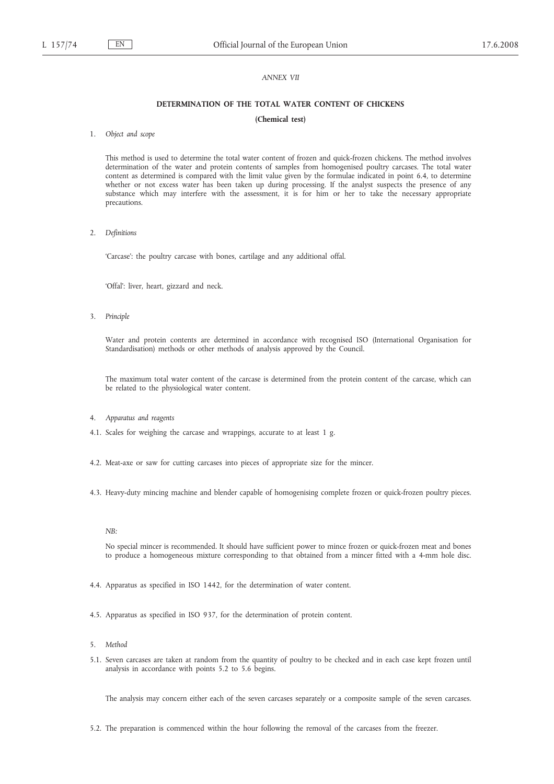## *ANNEX VII*

## **DETERMINATION OF THE TOTAL WATER CONTENT OF CHICKENS**

#### **(Chemical test)**

1. *Object and scope*

This method is used to determine the total water content of frozen and quick-frozen chickens. The method involves determination of the water and protein contents of samples from homogenised poultry carcases. The total water content as determined is compared with the limit value given by the formulae indicated in point 6.4, to determine whether or not excess water has been taken up during processing. If the analyst suspects the presence of any substance which may interfere with the assessment, it is for him or her to take the necessary appropriate precautions.

2. *Definitions*

'Carcase': the poultry carcase with bones, cartilage and any additional offal.

'Offal': liver, heart, gizzard and neck.

3. *Principle*

Water and protein contents are determined in accordance with recognised ISO (International Organisation for Standardisation) methods or other methods of analysis approved by the Council.

The maximum total water content of the carcase is determined from the protein content of the carcase, which can be related to the physiological water content.

- 4. *Apparatus and reagents*
- 4.1. Scales for weighing the carcase and wrappings, accurate to at least 1 g.
- 4.2. Meat-axe or saw for cutting carcases into pieces of appropriate size for the mincer.
- 4.3. Heavy-duty mincing machine and blender capable of homogenising complete frozen or quick-frozen poultry pieces.

*NB:*

No special mincer is recommended. It should have sufficient power to mince frozen or quick-frozen meat and bones to produce a homogeneous mixture corresponding to that obtained from a mincer fitted with a 4-mm hole disc.

- 4.4. Apparatus as specified in ISO 1442, for the determination of water content.
- 4.5. Apparatus as specified in ISO 937, for the determination of protein content.
- 5. *Method*
- 5.1. Seven carcases are taken at random from the quantity of poultry to be checked and in each case kept frozen until analysis in accordance with points 5.2 to 5.6 begins.

The analysis may concern either each of the seven carcases separately or a composite sample of the seven carcases.

5.2. The preparation is commenced within the hour following the removal of the carcases from the freezer.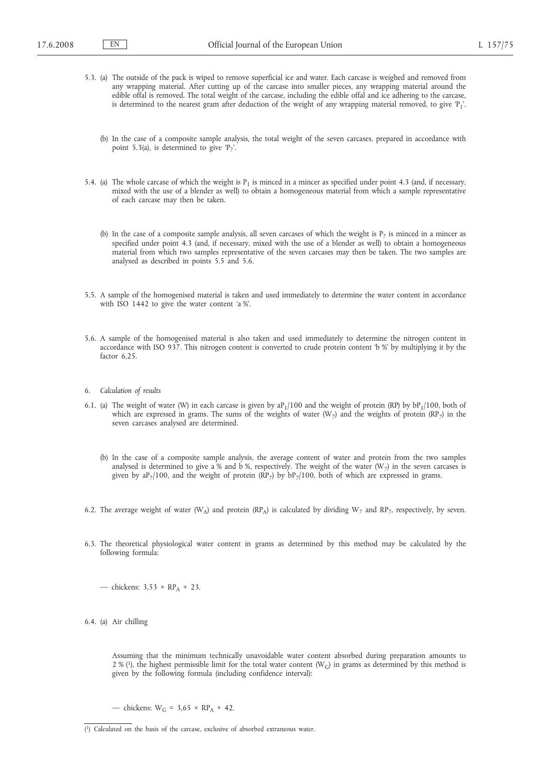- 5.3. (a) The outside of the pack is wiped to remove superficial ice and water. Each carcase is weighed and removed from any wrapping material. After cutting up of the carcase into smaller pieces, any wrapping material around the edible offal is removed. The total weight of the carcase, including the edible offal and ice adhering to the carcase, is determined to the nearest gram after deduction of the weight of any wrapping material removed, to give 'P<sub>1</sub>'.
	- (b) In the case of a composite sample analysis, the total weight of the seven carcases, prepared in accordance with point 5.3(a), is determined to give ' $P_7$ '.
- 5.4. (a) The whole carcase of which the weight is  $P_1$  is minced in a mincer as specified under point 4.3 (and, if necessary, mixed with the use of a blender as well) to obtain a homogeneous material from which a sample representative of each carcase may then be taken.
	- (b) In the case of a composite sample analysis, all seven carcases of which the weight is  $P_7$  is minced in a mincer as specified under point 4.3 (and, if necessary, mixed with the use of a blender as well) to obtain a homogeneous material from which two samples representative of the seven carcases may then be taken. The two samples are analysed as described in points 5.5 and 5.6.
- 5.5. A sample of the homogenised material is taken and used immediately to determine the water content in accordance with ISO 1442 to give the water content 'a %'.
- 5.6. A sample of the homogenised material is also taken and used immediately to determine the nitrogen content in accordance with ISO 937. This nitrogen content is converted to crude protein content 'b %' by multiplying it by the factor 6.25
- 6. *Calculation of results*
- 6.1. (a) The weight of water (W) in each carcase is given by  $aP_1/100$  and the weight of protein (RP) by  $bP_1/100$ , both of which are expressed in grams. The sums of the weights of water (W<sub>7</sub>) and the weights of protein (RP<sub>7</sub>) in the seven carcases analysed are determined.
	- (b) In the case of a composite sample analysis, the average content of water and protein from the two samples analysed is determined to give a % and b %, respectively. The weight of the water  $(W_7)$  in the seven carcases is given by  $aP_7/100$ , and the weight of protein (RP<sub>7</sub>) by  $bP_7/100$ , both of which are expressed in grams.
- 6.2. The average weight of water (W<sub>A</sub>) and protein (RP<sub>A</sub>) is calculated by dividing W<sub>7</sub> and RP<sub>7</sub>, respectively, by seven.
- 6.3. The theoretical physiological water content in grams as determined by this method may be calculated by the following formula:

— chickens:  $3.53 \times RP<sub>A</sub> + 23$ .

6.4. (a) Air chilling

Assuming that the minimum technically unavoidable water content absorbed during preparation amounts to 2 % (1), the highest permissible limit for the total water content (W<sub>G</sub>) in grams as determined by this method is given by the following formula (including confidence interval):

— chickens:  $W_G = 3.65 \times RP_A + 42$ .

<sup>(</sup> 1) Calculated on the basis of the carcase, exclusive of absorbed extraneous water.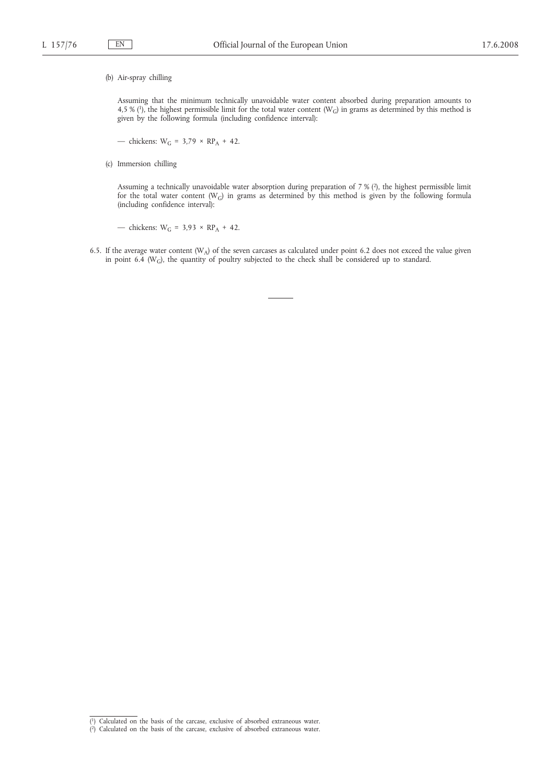(b) Air-spray chilling

Assuming that the minimum technically unavoidable water content absorbed during preparation amounts to 4,5 % (1), the highest permissible limit for the total water content ( $W_G$ ) in grams as determined by this method is given by the following formula (including confidence interval):

— chickens:  $W_G = 3.79 \times RP_A + 42$ .

(c) Immersion chilling

Assuming a technically unavoidable water absorption during preparation of 7 % (2), the highest permissible limit for the total water content ( $W_G$ ) in grams as determined by this method is given by the following formula (including confidence interval):

— chickens:  $W_G = 3.93 \times RP_A + 42$ .

6.5. If the average water content ( $W_A$ ) of the seven carcases as calculated under point 6.2 does not exceed the value given in point 6.4 (W<sub>G</sub>), the quantity of poultry subjected to the check shall be considered up to standard.

<sup>(</sup> 1) Calculated on the basis of the carcase, exclusive of absorbed extraneous water. ( 2) Calculated on the basis of the carcase, exclusive of absorbed extraneous water.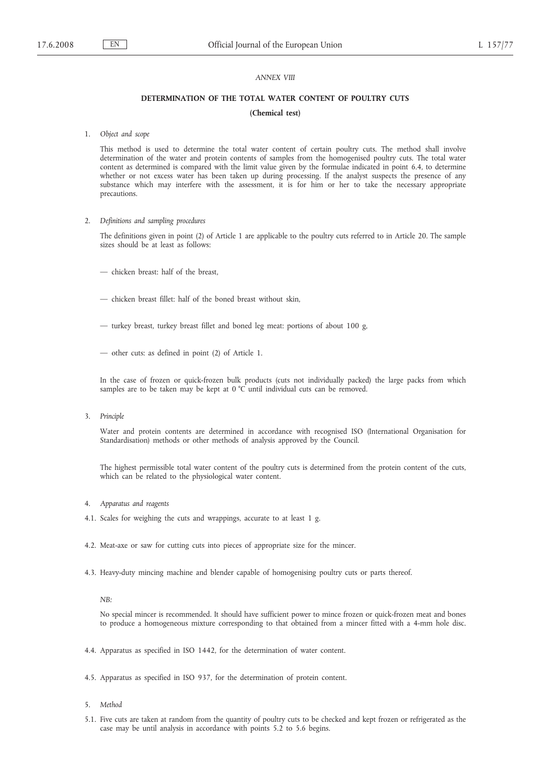## *ANNEX VIII*

## **DETERMINATION OF THE TOTAL WATER CONTENT OF POULTRY CUTS**

#### **(Chemical test)**

1. *Object and scope*

This method is used to determine the total water content of certain poultry cuts. The method shall involve determination of the water and protein contents of samples from the homogenised poultry cuts. The total water content as determined is compared with the limit value given by the formulae indicated in point 6.4, to determine whether or not excess water has been taken up during processing. If the analyst suspects the presence of any substance which may interfere with the assessment, it is for him or her to take the necessary appropriate precautions.

2. *Definitions and sampling procedures*

The definitions given in point (2) of Article 1 are applicable to the poultry cuts referred to in Article 20. The sample sizes should be at least as follows:

- chicken breast: half of the breast,
- chicken breast fillet: half of the boned breast without skin,
- turkey breast, turkey breast fillet and boned leg meat: portions of about 100 g,
- other cuts: as defined in point (2) of Article 1.

In the case of frozen or quick-frozen bulk products (cuts not individually packed) the large packs from which samples are to be taken may be kept at 0 °C until individual cuts can be removed.

3. *Principle*

Water and protein contents are determined in accordance with recognised ISO (International Organisation for Standardisation) methods or other methods of analysis approved by the Council.

The highest permissible total water content of the poultry cuts is determined from the protein content of the cuts, which can be related to the physiological water content.

- 4. *Apparatus and reagents*
- 4.1. Scales for weighing the cuts and wrappings, accurate to at least 1 g.
- 4.2. Meat-axe or saw for cutting cuts into pieces of appropriate size for the mincer.
- 4.3. Heavy-duty mincing machine and blender capable of homogenising poultry cuts or parts thereof.

*NB:*

No special mincer is recommended. It should have sufficient power to mince frozen or quick-frozen meat and bones to produce a homogeneous mixture corresponding to that obtained from a mincer fitted with a 4-mm hole disc.

- 4.4. Apparatus as specified in ISO 1442, for the determination of water content.
- 4.5. Apparatus as specified in ISO 937, for the determination of protein content.
- 5. *Method*
- 5.1. Five cuts are taken at random from the quantity of poultry cuts to be checked and kept frozen or refrigerated as the case may be until analysis in accordance with points 5.2 to 5.6 begins.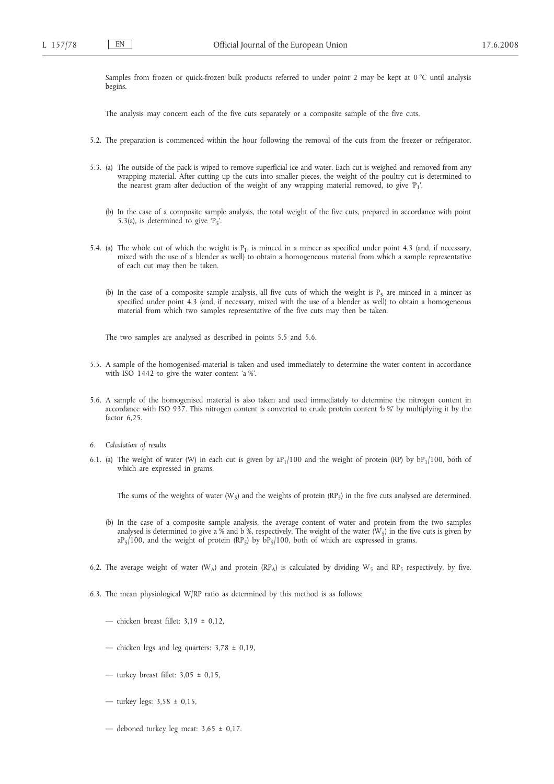Samples from frozen or quick-frozen bulk products referred to under point 2 may be kept at 0 °C until analysis begins.

The analysis may concern each of the five cuts separately or a composite sample of the five cuts.

- 5.2. The preparation is commenced within the hour following the removal of the cuts from the freezer or refrigerator.
- 5.3. (a) The outside of the pack is wiped to remove superficial ice and water. Each cut is weighed and removed from any wrapping material. After cutting up the cuts into smaller pieces, the weight of the poultry cut is determined to the nearest gram after deduction of the weight of any wrapping material removed, to give 'P1'.
	- (b) In the case of a composite sample analysis, the total weight of the five cuts, prepared in accordance with point 5.3(a), is determined to give  $P_5$ .
- 5.4. (a) The whole cut of which the weight is  $P_1$ , is minced in a mincer as specified under point 4.3 (and, if necessary, mixed with the use of a blender as well) to obtain a homogeneous material from which a sample representative of each cut may then be taken.
	- (b) In the case of a composite sample analysis, all five cuts of which the weight is  $P_5$  are minced in a mincer as specified under point 4.3 (and, if necessary, mixed with the use of a blender as well) to obtain a homogeneous material from which two samples representative of the five cuts may then be taken.

The two samples are analysed as described in points 5.5 and 5.6.

- 5.5. A sample of the homogenised material is taken and used immediately to determine the water content in accordance with ISO 1442 to give the water content 'a %'.
- 5.6. A sample of the homogenised material is also taken and used immediately to determine the nitrogen content in accordance with ISO 937. This nitrogen content is converted to crude protein content 'b %' by multiplying it by the factor 6,25.
- 6. *Calculation of results*
- 6.1. (a) The weight of water (W) in each cut is given by  $aP_1/100$  and the weight of protein (RP) by  $bP_1/100$ , both of which are expressed in grams.

The sums of the weights of water (W<sub>5</sub>) and the weights of protein (RP<sub>5</sub>) in the five cuts analysed are determined.

- (b) In the case of a composite sample analysis, the average content of water and protein from the two samples analysed is determined to give a % and b %, respectively. The weight of the water ( $W_5$ ) in the five cuts is given by  $aP_5/100$ , and the weight of protein (RP<sub>5</sub>) by  $bP_5/100$ , both of which are expressed in grams.
- 6.2. The average weight of water (W<sub>A</sub>) and protein (RP<sub>A</sub>) is calculated by dividing W<sub>5</sub> and RP<sub>5</sub> respectively, by five.
- 6.3. The mean physiological W/RP ratio as determined by this method is as follows:
	- chicken breast fillet:  $3.19 \pm 0.12$ .
	- chicken legs and leg quarters:  $3.78 \pm 0.19$ ,
	- turkey breast fillet:  $3.05 \pm 0.15$ ,
	- turkey legs:  $3,58 \pm 0,15$ ,
	- deboned turkey leg meat:  $3,65 \pm 0,17$ .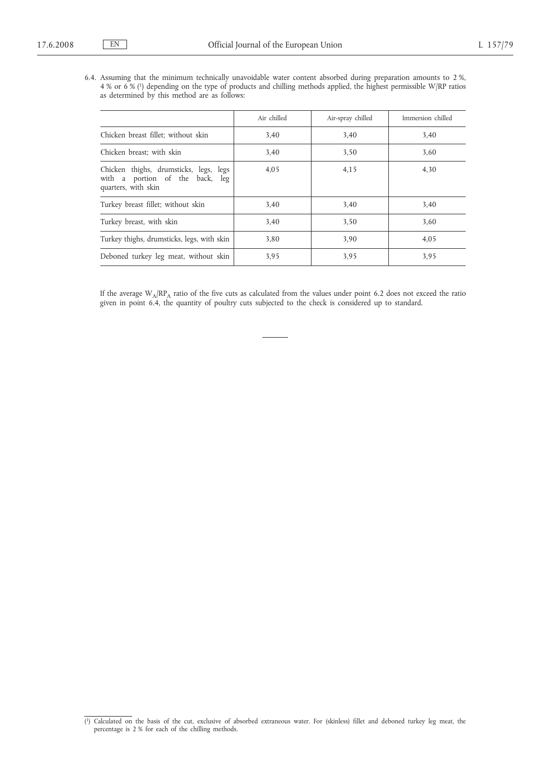6.4. Assuming that the minimum technically unavoidable water content absorbed during preparation amounts to 2 %, 4 % or 6 % (1) depending on the type of products and chilling methods applied, the highest permissible W/RP ratios as determined by this method are as follows:

|                                                                                                  | Air chilled | Air-spray chilled | Immersion chilled |
|--------------------------------------------------------------------------------------------------|-------------|-------------------|-------------------|
| Chicken breast fillet; without skin                                                              | 3,40        | 3.40              | 3,40              |
| Chicken breast; with skin                                                                        | 3.40        | 3,50              | 3.60              |
| Chicken thighs, drumsticks, legs, legs<br>with a portion of the back, leg<br>quarters, with skin | 4.05        | 4,15              | 4,30              |
| Turkey breast fillet; without skin                                                               | 3,40        | 3,40              | 3,40              |
| Turkey breast, with skin                                                                         | 3.40        | 3.50              | 3.60              |
| Turkey thighs, drumsticks, legs, with skin                                                       | 3.80        | 3.90              | 4,05              |
| Deboned turkey leg meat, without skin                                                            | 3.95        | 3,95              | 3,95              |

If the average  $W_A/RP_A$  ratio of the five cuts as calculated from the values under point 6.2 does not exceed the ratio given in point 6.4, the quantity of poultry cuts subjected to the check is considered up to standard.

<sup>(</sup> 1) Calculated on the basis of the cut, exclusive of absorbed extraneous water. For (skinless) fillet and deboned turkey leg meat, the percentage is 2 % for each of the chilling methods.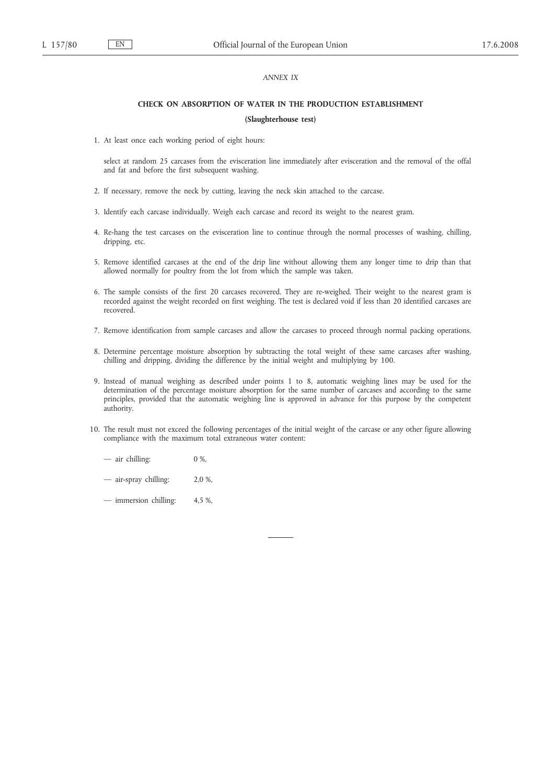## *ANNEX IX*

#### **CHECK ON ABSORPTION OF WATER IN THE PRODUCTION ESTABLISHMENT**

#### **(Slaughterhouse test)**

1. At least once each working period of eight hours:

select at random 25 carcases from the evisceration line immediately after evisceration and the removal of the offal and fat and before the first subsequent washing.

- 2. If necessary, remove the neck by cutting, leaving the neck skin attached to the carcase.
- 3. Identify each carcase individually. Weigh each carcase and record its weight to the nearest gram.
- 4. Re-hang the test carcases on the evisceration line to continue through the normal processes of washing, chilling, dripping, etc.
- 5. Remove identified carcases at the end of the drip line without allowing them any longer time to drip than that allowed normally for poultry from the lot from which the sample was taken.
- 6. The sample consists of the first 20 carcases recovered. They are re-weighed. Their weight to the nearest gram is recorded against the weight recorded on first weighing. The test is declared void if less than 20 identified carcases are recovered.
- 7. Remove identification from sample carcases and allow the carcases to proceed through normal packing operations.
- 8. Determine percentage moisture absorption by subtracting the total weight of these same carcases after washing, chilling and dripping, dividing the difference by the initial weight and multiplying by 100.
- 9. Instead of manual weighing as described under points 1 to 8, automatic weighing lines may be used for the determination of the percentage moisture absorption for the same number of carcases and according to the same principles, provided that the automatic weighing line is approved in advance for this purpose by the competent authority.
- 10. The result must not exceed the following percentages of the initial weight of the carcase or any other figure allowing compliance with the maximum total extraneous water content:
	- air chilling: 0 %,
	- air-spray chilling: 2,0 %,
	- immersion chilling: 4,5 %,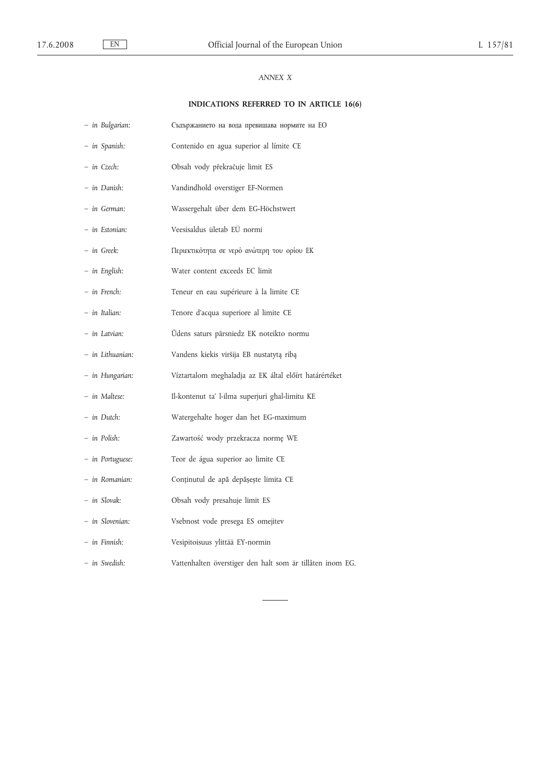## *ANNEX X*

# **INDICATIONS REFERRED TO IN ARTICLE 16(6)**

| - in Bulgarian:  | Съдържанието на вода превишава нормите на ЕО              |
|------------------|-----------------------------------------------------------|
| - in Spanish:    | Contenido en agua superior al límite CE                   |
| - in Czech:      | Obsah vody překračuje limit ES                            |
| - in Danish:     | Vandindhold overstiger EF-Normen                          |
| – in German:     | Wassergehalt über dem EG-Höchstwert                       |
| - in Estonian:   | Veesisaldus ületab EÜ normi                               |
| – in Greek:      | Περιεκτικότητα σε νερό ανώτερη του ορίου ΕΚ               |
| - in English:    | Water content exceeds EC limit                            |
| – in French:     | Teneur en eau supérieure à la limite CE                   |
| – in Italian:    | Tenore d'acqua superiore al limite CE                     |
| – in Latvian:    | Ūdens saturs pārsniedz EK noteikto normu                  |
| - in Lithuanian: | Vandens kiekis viršija EB nustatytą ribą                  |
| - in Hungarian:  | Víztartalom meghaladja az EK által előírt határértéket    |
| - in Maltese:    | Il-kontenut ta' l-ilma superjuri ghal-limitu KE           |
| – in Dutch:      | Watergehalte hoger dan het EG-maximum                     |
| - in Polish:     | Zawartość wody przekracza normę WE                        |
| - in Portuguese: | Teor de água superior ao limite CE                        |
| - in Romanian:   | Conținutul de apă depășește limita CE                     |
| - in Slovak:     | Obsah vody presahuje limit ES                             |
| - in Slovenian:  | Vsebnost vode presega ES omejitev                         |
| - in Finnish:    | Vesipitoisuus ylittää EY-normin                           |
| - in Swedish:    | Vattenhalten överstiger den halt som är tillåten inom EG. |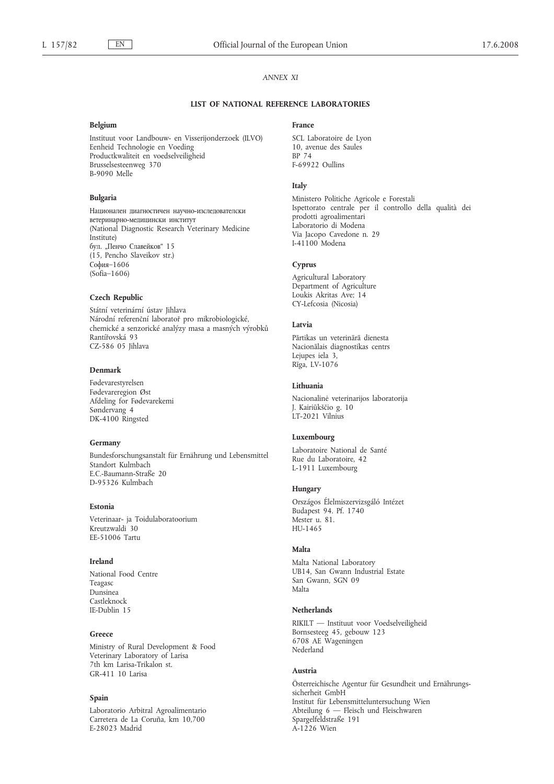$EN$ 

## **ANNEX XI**

#### LIST OF NATIONAL REFERENCE LABORATORIES

#### Belgium

Instituut voor Landbouw- en Visserijonderzoek (ILVO) Eenheid Technologie en Voeding Productkwaliteit en voedselveiligheid Brusselsesteenweg 370 B-9090 Melle

#### **Bulgaria**

Национален диагностичен научно-изследователски ветеринарно-медицински институт (National Diagnostic Research Veterinary Medicine Institute) бул. "Пенчо Славейков" 15 (15, Pencho Slaveikov str.)  $Cobus-1606$  $(Sofia-1606)$ 

#### **Czech Republic**

Státní veterinární ústav Jihlava Národní referenční laboratoř pro mikrobiologické, chemické a senzorické analýzy masa a masných výrobků Rantířovská 93 CZ-586 05 Jihlava

#### Denmark

Fødevarestyrelsen Fødevareregion Øst Afdeling for Fødevarekemi Søndervang 4 DK-4100 Ringsted

#### Germany

Bundesforschungsanstalt für Ernährung und Lebensmittel Standort Kulmbach E.C.-Baumann-Straße 20 D-95326 Kulmbach

#### Estonia

Veterinaar- ja Toidulaboratoorium Kreutzwaldi 30 FF-51006 Tartu

#### Ireland

National Food Centre Teagasc Dunsinea Castleknock IE-Dublin 15

#### Greece

Ministry of Rural Development & Food Veterinary Laboratory of Larisa 7th km Larisa-Trikalon st. GR-411 10 Larisa

## Spain

Laboratorio Arbitral Agroalimentario Carretera de La Coruña, km 10,700 F-28023 Madrid

#### France

SCL Laboratoire de Lyon 10, avenue des Saules RP 74 F-69922 Oullins

#### Italy

Ministero Politiche Agricole e Forestali<br>Ispettorato centrale per il controllo della qualità dei prodotti agroalimentari Laboratorio di Modena Via Jacopo Cavedone n. 29 I-41100 Modena

#### Cyprus

Agricultural Laboratory Department of Agriculture Loukis Akritas Ave; 14 CY-Lefcosia (Nicosia)

## Latvia

Pārtikas un veterinārā dienesta Nacionālais diagnostikas centrs Leiupes iela 3. Rīga, LV-1076

#### Lithuania

Nacionalinė veterinarijos laboratorija J. Kairiūkščio g. 10  $IT-2021$  Vilnius

#### Luxembourg

Laboratoire National de Santé Rue du Laboratoire, 42 L-1911 Luxembourg

#### Hungary

Országos Élelmiszervizsgáló Intézet Budapest 94. Pf. 1740 Mester u. 81. HU-1465

## Malta

Malta National Laboratory UB14, San Gwann Industrial Estate San Gwann, SGN 09 Malta

#### **Netherlands**

RIKILT - Instituut voor Voedselveiligheid Bornsesteeg 45, gebouw 123 6708 AE Wageningen Nederland

#### Austria

Österreichische Agentur für Gesundheit und Ernährungssicherheit GmbH Institut für Lebensmitteluntersuchung Wien Abteilung 6 - Fleisch und Fleischwaren Spargelfeldstraße 191  $A-1226$  Wien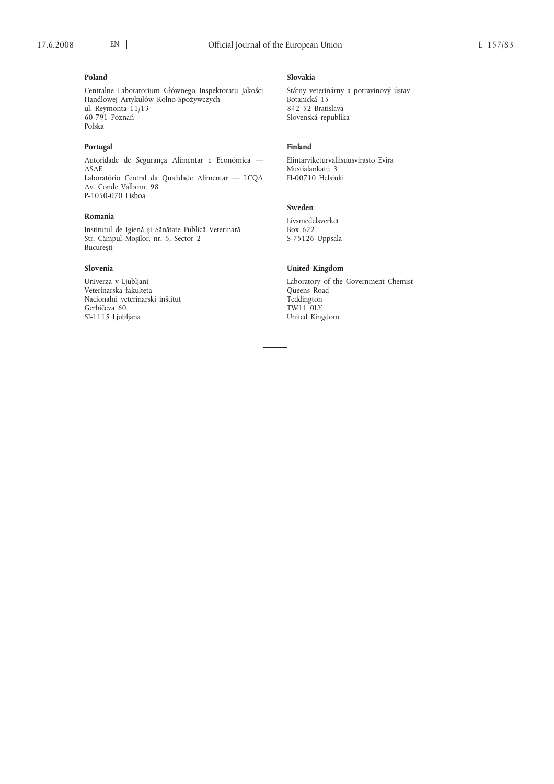## **Poland**

Centralne Laboratorium Głównego Inspektoratu Jakości Handlowej Artykułów Rolno-Spożywczych ul. Reymonta 11/13 60-791 Poznań Polska

## **Portugal**

Autoridade de Segurança Alimentar e Económica — ASAE Laboratório Central da Qualidade Alimentar — LCQA Av. Conde Valbom, 98 P-1050-070 Lisboa

#### **Romania**

Institutul de Igienă și Sănătate Publică Veterinară Str. Câmpul Moșilor, nr. 5, Sector 2 București

#### **Slovenia**

Univerza v Ljubljani Veterinarska fakulteta Nacionalni veterinarski inštitut Gerbičeva 60 SI-1115 Ljubljana

### **Slovakia**

Štátny veterinárny a potravinový ústav Botanická 15 842 52 Bratislava Slovenská republika

## **Finland**

Elintarviketurvallisuusvirasto Evira Mustialankatu 3 FI-00710 Helsinki

## **Sweden**

Livsmedelsverket Box 622 S-75126 Uppsala

#### **United Kingdom**

Laboratory of the Government Chemist Queens Road Teddington TW11 0LY United Kingdom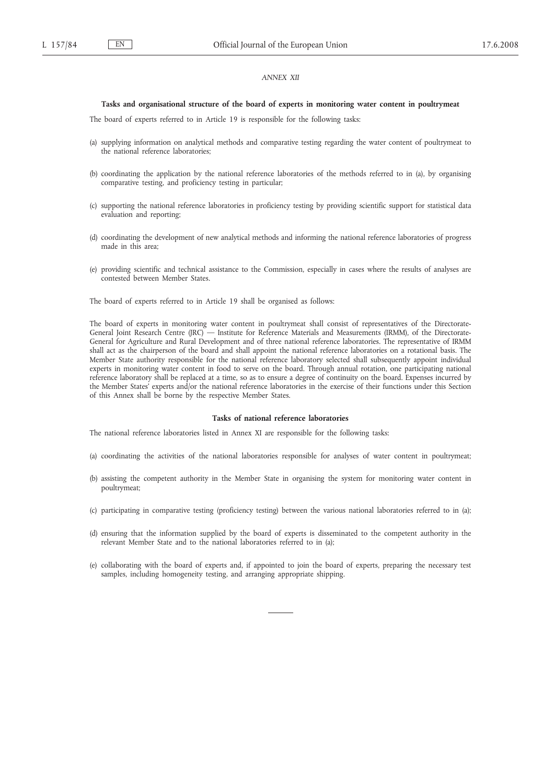## *ANNEX XII*

#### **Tasks and organisational structure of the board of experts in monitoring water content in poultrymeat**

The board of experts referred to in Article 19 is responsible for the following tasks:

- (a) supplying information on analytical methods and comparative testing regarding the water content of poultrymeat to the national reference laboratories;
- (b) coordinating the application by the national reference laboratories of the methods referred to in (a), by organising comparative testing, and proficiency testing in particular;
- (c) supporting the national reference laboratories in proficiency testing by providing scientific support for statistical data evaluation and reporting;
- (d) coordinating the development of new analytical methods and informing the national reference laboratories of progress made in this area;
- (e) providing scientific and technical assistance to the Commission, especially in cases where the results of analyses are contested between Member States.

The board of experts referred to in Article 19 shall be organised as follows:

The board of experts in monitoring water content in poultrymeat shall consist of representatives of the Directorate-General Joint Research Centre (JRC) — Institute for Reference Materials and Measurements (IRMM), of the Directorate-General for Agriculture and Rural Development and of three national reference laboratories. The representative of IRMM shall act as the chairperson of the board and shall appoint the national reference laboratories on a rotational basis. The Member State authority responsible for the national reference laboratory selected shall subsequently appoint individual experts in monitoring water content in food to serve on the board. Through annual rotation, one participating national reference laboratory shall be replaced at a time, so as to ensure a degree of continuity on the board. Expenses incurred by the Member States' experts and/or the national reference laboratories in the exercise of their functions under this Section of this Annex shall be borne by the respective Member States.

#### **Tasks of national reference laboratories**

The national reference laboratories listed in Annex XI are responsible for the following tasks:

- (a) coordinating the activities of the national laboratories responsible for analyses of water content in poultrymeat;
- (b) assisting the competent authority in the Member State in organising the system for monitoring water content in poultrymeat;
- (c) participating in comparative testing (proficiency testing) between the various national laboratories referred to in (a);
- (d) ensuring that the information supplied by the board of experts is disseminated to the competent authority in the relevant Member State and to the national laboratories referred to in (a);
- (e) collaborating with the board of experts and, if appointed to join the board of experts, preparing the necessary test samples, including homogeneity testing, and arranging appropriate shipping.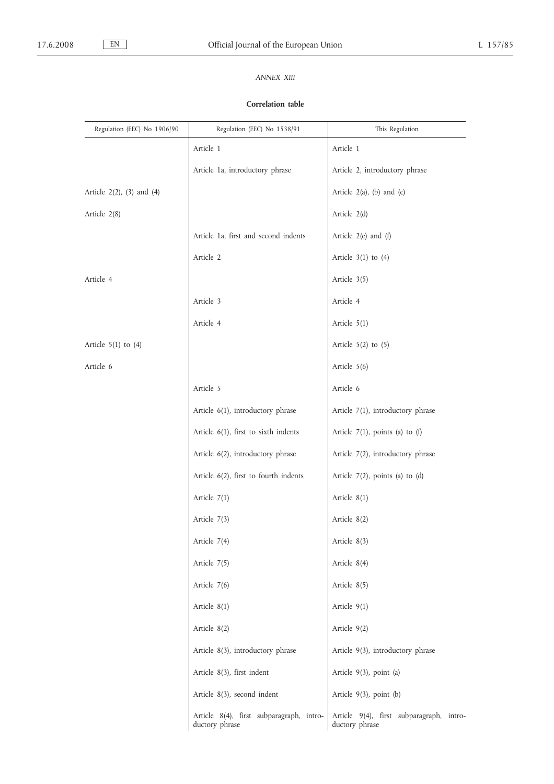# *ANNEX XIII*

## **Correlation table**

| Regulation (EEC) No 1906/90      | Regulation (EEC) No 1538/91                                | This Regulation                                            |
|----------------------------------|------------------------------------------------------------|------------------------------------------------------------|
|                                  | Article 1                                                  | Article 1                                                  |
|                                  | Article 1a, introductory phrase                            | Article 2, introductory phrase                             |
| Article $2(2)$ , $(3)$ and $(4)$ |                                                            | Article $2(a)$ , (b) and (c)                               |
| Article 2(8)                     |                                                            | Article 2(d)                                               |
|                                  | Article 1a, first and second indents                       | Article 2(e) and (f)                                       |
|                                  | Article 2                                                  | Article $3(1)$ to $(4)$                                    |
| Article 4                        |                                                            | Article 3(5)                                               |
|                                  | Article 3                                                  | Article 4                                                  |
|                                  | Article 4                                                  | Article $5(1)$                                             |
| Article $5(1)$ to $(4)$          |                                                            | Article $5(2)$ to $(5)$                                    |
| Article 6                        |                                                            | Article 5(6)                                               |
|                                  | Article 5                                                  | Article 6                                                  |
|                                  | Article 6(1), introductory phrase                          | Article 7(1), introductory phrase                          |
|                                  | Article 6(1), first to sixth indents                       | Article $7(1)$ , points (a) to (f)                         |
|                                  | Article 6(2), introductory phrase                          | Article 7(2), introductory phrase                          |
|                                  | Article 6(2), first to fourth indents                      | Article $7(2)$ , points (a) to (d)                         |
|                                  | Article $7(1)$                                             | Article $8(1)$                                             |
|                                  | Article $7(3)$                                             | Article $8(2)$                                             |
|                                  | Article 7(4)                                               | Article 8(3)                                               |
|                                  | Article 7(5)                                               | Article 8(4)                                               |
|                                  | Article 7(6)                                               | Article $8(5)$                                             |
|                                  | Article 8(1)                                               | Article $9(1)$                                             |
|                                  | Article $8(2)$                                             | Article $9(2)$                                             |
|                                  | Article 8(3), introductory phrase                          | Article 9(3), introductory phrase                          |
|                                  | Article 8(3), first indent                                 | Article 9(3), point (a)                                    |
|                                  | Article 8(3), second indent                                | Article $9(3)$ , point (b)                                 |
|                                  | Article 8(4), first subparagraph, intro-<br>ductory phrase | Article 9(4), first subparagraph, intro-<br>ductory phrase |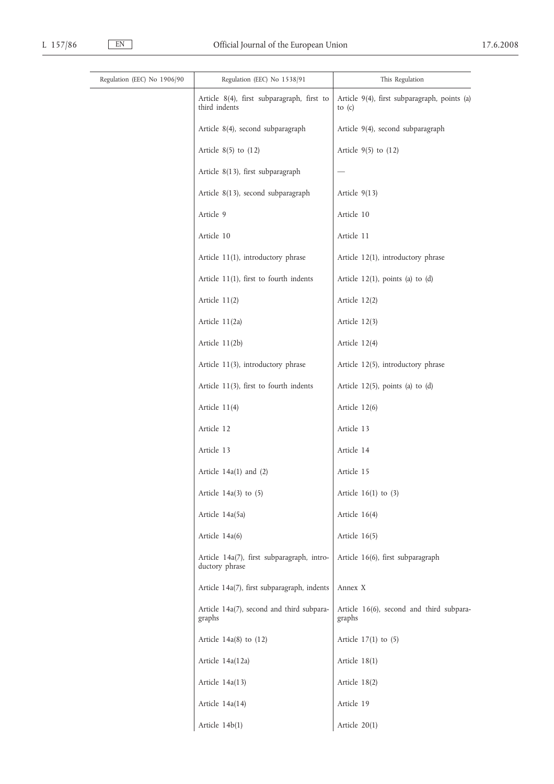| Regulation (EEC) No 1906/90 | Regulation (EEC) No 1538/91                                  | This Regulation                                          |
|-----------------------------|--------------------------------------------------------------|----------------------------------------------------------|
|                             | Article 8(4), first subparagraph, first to<br>third indents  | Article 9(4), first subparagraph, points (a)<br>to $(c)$ |
|                             | Article 8(4), second subparagraph                            | Article 9(4), second subparagraph                        |
|                             | Article $8(5)$ to $(12)$                                     | Article $9(5)$ to $(12)$                                 |
|                             | Article 8(13), first subparagraph                            |                                                          |
|                             | Article 8(13), second subparagraph                           | Article $9(13)$                                          |
|                             | Article 9                                                    | Article 10                                               |
|                             | Article 10                                                   | Article 11                                               |
|                             | Article 11(1), introductory phrase                           | Article 12(1), introductory phrase                       |
|                             | Article $11(1)$ , first to fourth indents                    | Article $12(1)$ , points (a) to (d)                      |
|                             | Article $11(2)$                                              | Article 12(2)                                            |
|                             | Article 11(2a)                                               | Article $12(3)$                                          |
|                             | Article 11(2b)                                               | Article 12(4)                                            |
|                             | Article 11(3), introductory phrase                           | Article 12(5), introductory phrase                       |
|                             | Article 11(3), first to fourth indents                       | Article $12(5)$ , points (a) to (d)                      |
|                             | Article 11(4)                                                | Article 12(6)                                            |
|                             | Article 12                                                   | Article 13                                               |
|                             | Article 13                                                   | Article 14                                               |
|                             | Article $14a(1)$ and $(2)$                                   | Article 15                                               |
|                             | Article $14a(3)$ to $(5)$                                    | Article $16(1)$ to $(3)$                                 |
|                             | Article 14a(5a)                                              | Article $16(4)$                                          |
|                             | Article 14a(6)                                               | Article $16(5)$                                          |
|                             | Article 14a(7), first subparagraph, intro-<br>ductory phrase | Article 16(6), first subparagraph                        |
|                             | Article 14a(7), first subparagraph, indents                  | Annex X                                                  |
|                             | Article 14a(7), second and third subpara-<br>graphs          | Article 16(6), second and third subpara-<br>graphs       |
|                             | Article $14a(8)$ to $(12)$                                   | Article $17(1)$ to $(5)$                                 |
|                             | Article 14a(12a)                                             | Article 18(1)                                            |
|                             | Article 14a(13)                                              | Article 18(2)                                            |
|                             | Article 14a(14)                                              | Article 19                                               |
|                             | Article 14b(1)                                               | Article 20(1)                                            |